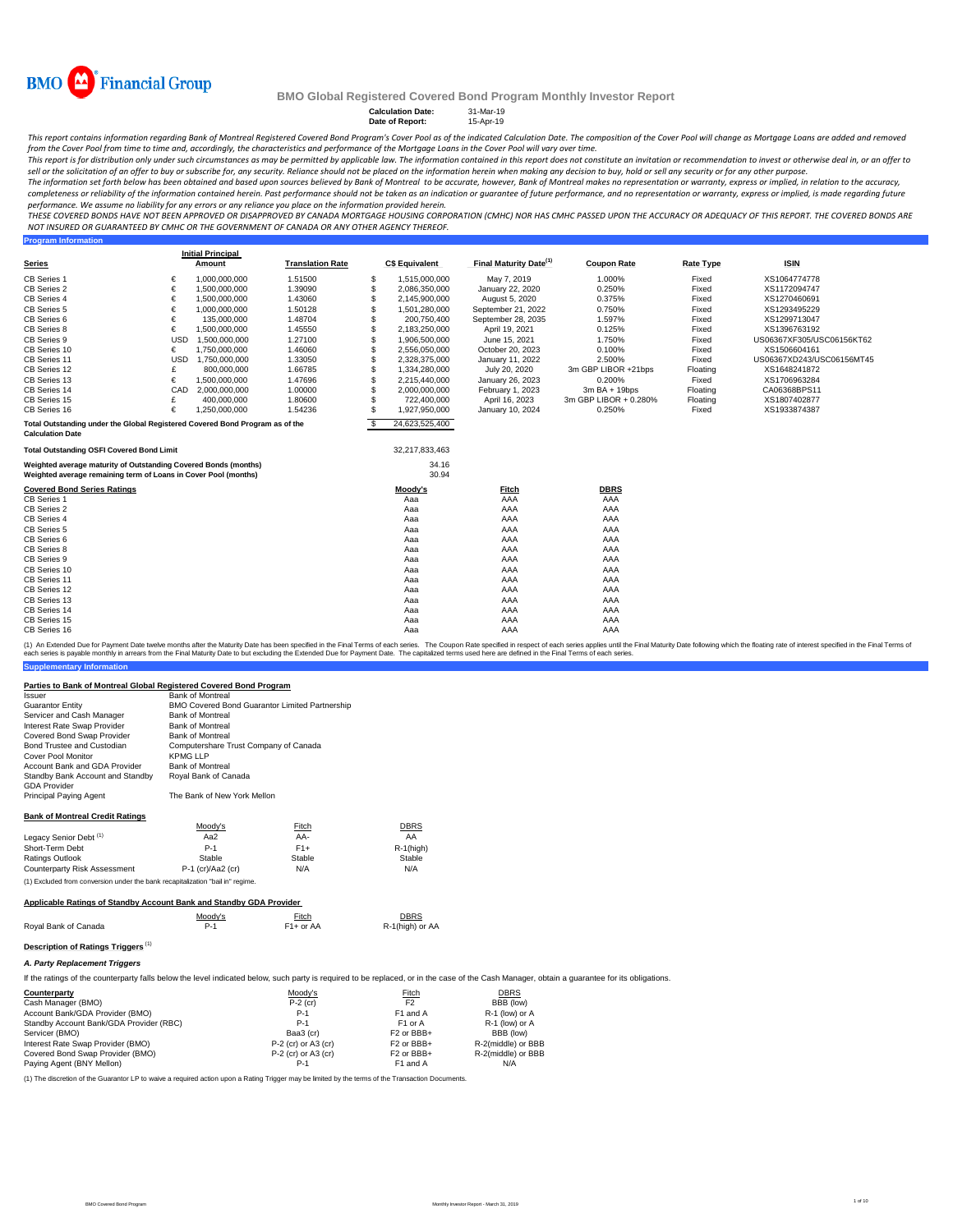

**Calculation Date:** 31-Mar-19<br> **Date of Report:** 15-Apr-19

**Date of Report:** 

This report contains information regarding Bank of Montreal Registered Covered Bond Program's Cover Pool s of the indicated Calculation Date. The composition of the Cover Pool will change as Mortgage Loans are added and re

.<br>This report is for distribution only under such circumstances as may be permitted by applicable law. The information contained in this report does not constitute an invitation or recommendation to invest or otherwise dea *sell or the solicitation of an offer to buy or subscribe for, any security. Reliance should not be placed on the information herein when making any decision to buy, hold or sell any security or for any other purpose.*

The information set forth below has been obtained and based upon sources believed by Bank of Montreal to be accurate, however, Bank of Montreal makes no representation or warranty, express or implied, in relation to the ac completeness or reliability of the information contained herein. Past performance should not be taken as an indication or quarantee of future performance, and no representation or warranty, express or implied, is made rega *performance. We assume no liability for any errors or any reliance you place on the information provided herein.*

*THESE COVERED BONDS HAVE NOT BEEN APPROVED OR DISAPPROVED BY CANADA MORTGAGE HOUSING CORPORATION (CMHC) NOR HAS CMHC PASSED UPON THE ACCURACY OR ADEQUACY OF THIS REPORT. THE COVERED BONDS ARE NOT INSURED OR GUARANTEED BY CMHC OR THE GOVERNMENT OF CANADA OR ANY OTHER AGENCY THEREOF.*<br>Program Information

| <b>Program Information</b>                                                   |            |                          |                         |     |                       |                                    |                       |                  |                           |
|------------------------------------------------------------------------------|------------|--------------------------|-------------------------|-----|-----------------------|------------------------------------|-----------------------|------------------|---------------------------|
|                                                                              |            | <b>Initial Principal</b> |                         |     | <b>C\$ Equivalent</b> | Final Maturity Date <sup>(1)</sup> |                       |                  |                           |
| <b>Series</b>                                                                |            | Amount                   | <b>Translation Rate</b> |     |                       |                                    | <b>Coupon Rate</b>    | <b>Rate Type</b> | <b>ISIN</b>               |
| CB Series 1                                                                  | €          | 1,000,000,000            | 1.51500                 | S   | 1,515,000,000         | May 7, 2019                        | 1.000%                | Fixed            | XS1064774778              |
| CB Series 2                                                                  | €          | 1.500.000.000            | 1.39090                 | S   | 2.086.350.000         | January 22, 2020                   | 0.250%                | Fixed            | XS1172094747              |
| CB Series 4                                                                  | €          | 1,500,000,000            | 1.43060                 | S   | 2,145,900,000         | August 5, 2020                     | 0.375%                | Fixed            | XS1270460691              |
| CB Series 5                                                                  | €          | 1,000,000,000            | 1.50128                 | \$  | 1,501,280,000         | September 21, 2022                 | 0.750%                | Fixed            | XS1293495229              |
| CB Series 6                                                                  | €          | 135,000,000              | 1.48704                 | \$  | 200,750,400           | September 28, 2035                 | 1.597%                | Fixed            | XS1299713047              |
| CB Series 8                                                                  | €          | 1,500,000,000            | 1.45550                 | S   | 2,183,250,000         | April 19, 2021                     | 0.125%                | Fixed            | XS1396763192              |
| CB Series 9                                                                  | <b>USD</b> | 1,500,000,000            | 1.27100                 | S   | 1,906,500,000         | June 15, 2021                      | 1.750%                | Fixed            | US06367XF305/USC06156KT62 |
| CB Series 10                                                                 | €          | 1.750.000.000            | 1.46060                 | S   | 2.556.050.000         | October 20, 2023                   | 0.100%                | Fixed            | XS1506604161              |
| CB Series 11                                                                 | <b>USD</b> | 1,750,000,000            | 1.33050                 | \$. | 2,328,375,000         | January 11, 2022                   | 2.500%                | Fixed            | US06367XD243/USC06156MT45 |
| CB Series 12                                                                 | £          | 800,000,000              | 1.66785                 | \$. | 1,334,280,000         | July 20, 2020                      | 3m GBP LIBOR +21bps   | Floating         | XS1648241872              |
| CB Series 13                                                                 | €          | 1,500,000,000            | 1.47696                 | S   | 2,215,440,000         | January 26, 2023                   | 0.200%                | Fixed            | XS1706963284              |
| CB Series 14                                                                 | CAD        | 2.000.000.000            | 1.00000                 | \$. | 2.000.000.000         | February 1, 2023                   | $3mBA + 19b$ ps       | Floating         | CA06368BPS11              |
| CB Series 15                                                                 | £          | 400,000,000              | 1.80600                 | \$  | 722,400,000           | April 16, 2023                     | 3m GBP LIBOR + 0.280% | Floating         | XS1807402877              |
| CB Series 16                                                                 | €          | 1,250,000,000            | 1.54236                 | \$. | 1,927,950,000         | January 10, 2024                   | 0.250%                | Fixed            | XS1933874387              |
| Total Outstanding under the Global Registered Covered Bond Program as of the |            |                          |                         | -S  | 24,623,525,400        |                                    |                       |                  |                           |
| <b>Calculation Date</b>                                                      |            |                          |                         |     |                       |                                    |                       |                  |                           |
| <b>Total Outstanding OSFI Covered Bond Limit</b>                             |            |                          |                         |     | 32,217,833,463        |                                    |                       |                  |                           |
| Weighted average maturity of Outstanding Covered Bonds (months)              |            |                          |                         |     | 34.16                 |                                    |                       |                  |                           |
| Weighted average remaining term of Loans in Cover Pool (months)              |            |                          |                         |     | 30.94                 |                                    |                       |                  |                           |
| <b>Covered Bond Series Ratings</b>                                           |            |                          |                         |     | Moody's               | <b>Fitch</b>                       | <b>DBRS</b>           |                  |                           |
| CB Series 1                                                                  |            |                          |                         |     | Aaa                   | AAA                                | AAA                   |                  |                           |
| CB Series 2                                                                  |            |                          |                         |     | Aaa                   | AAA                                | AAA                   |                  |                           |
| CB Series 4                                                                  |            |                          |                         |     | Aaa                   | AAA                                | AAA                   |                  |                           |
| CB Series 5                                                                  |            |                          |                         |     | Aaa                   | AAA                                | AAA                   |                  |                           |
| CB Series 6                                                                  |            |                          |                         |     | Aaa                   | AAA                                | AAA                   |                  |                           |
| CB Series 8                                                                  |            |                          |                         |     | Aaa                   | AAA                                | AAA                   |                  |                           |
| CB Series 9                                                                  |            |                          |                         |     | Aaa                   | AAA                                | AAA                   |                  |                           |
| CB Series 10                                                                 |            |                          |                         |     | Aaa                   | AAA                                | AAA                   |                  |                           |
| CB Series 11                                                                 |            |                          |                         |     | Aaa                   | AAA                                | AAA                   |                  |                           |
| CB Series 12                                                                 |            |                          |                         |     | Aaa                   | AAA                                | AAA                   |                  |                           |
| CB Series 13                                                                 |            |                          |                         |     | Aaa                   | AAA                                | AAA                   |                  |                           |
| CB Series 14                                                                 |            |                          |                         |     | Aaa                   | AAA                                | AAA                   |                  |                           |
| CB Series 15                                                                 |            |                          |                         |     | Aaa                   | AAA                                | AAA                   |                  |                           |
| CB Series 16                                                                 |            |                          |                         |     | Aaa                   | AAA                                | AAA                   |                  |                           |

**Supplementary Information** (1) An Extended Due for Payment Date welve months after the Maturity Date has been specified in the Final Materms of each series. The Coupon Rate specified that the specified in the Final Maturity Date to least the Final T

### **Parties to Bank of Montreal Global Registered Covered Bond Program**

| <i><b>Issuer</b></i>                   | <b>Bank of Montreal</b>                               |
|----------------------------------------|-------------------------------------------------------|
| <b>Guarantor Entity</b>                | <b>BMO Covered Bond Guarantor Limited Partnership</b> |
| Servicer and Cash Manager              | <b>Bank of Montreal</b>                               |
| Interest Rate Swap Provider            | <b>Bank of Montreal</b>                               |
| Covered Bond Swap Provider             | <b>Bank of Montreal</b>                               |
| Bond Trustee and Custodian             | Computershare Trust Company of Canada                 |
| Cover Pool Monitor                     | KPMG LLP                                              |
| Account Bank and GDA Provider          | <b>Bank of Montreal</b>                               |
| Standby Bank Account and Standby       | Royal Bank of Canada                                  |
| <b>GDA Provider</b>                    |                                                       |
| <b>Principal Paying Agent</b>          | The Bank of New York Mellon                           |
|                                        |                                                       |
| <b>Bank of Montreal Credit Ratings</b> |                                                       |

|                                   | Moody's             | <b>Fitch</b> | DBRS     |
|-----------------------------------|---------------------|--------------|----------|
| Legacy Senior Debt <sup>(1)</sup> | Aa2                 | AA-          | AA       |
| Short-Term Debt                   | $P-1$               | $F1+$        | R-1(higi |
| Ratings Outlook                   | Stable              | Stable       | Stable   |
| Counterparty Risk Assessment      | $P-1$ (cr)/Aa2 (cr) | N/A          | N/A      |

(1) Excluded from conversion under the bank recapitalization "bail in" regime.

### **Applicable Ratings of Standby Account Bank and Standby GDA Provider**

| Moody's | Fitch<br><u> The Communication of the Communication of the Communication of the Communication of the Communication of the Communication of the Communication of the Communication of the Communication of the Communication of the Commun</u> | DBRS<br><u> The Communication of the Communication of the Communication of the Communication of the Communication of the Communication of the Communication of the Communication of the Communication of the Communication of the Commun</u> |
|---------|-----------------------------------------------------------------------------------------------------------------------------------------------------------------------------------------------------------------------------------------------|----------------------------------------------------------------------------------------------------------------------------------------------------------------------------------------------------------------------------------------------|
| $P-1$   | $F1+$ or AA                                                                                                                                                                                                                                   | R-1(high) or AA                                                                                                                                                                                                                              |
|         |                                                                                                                                                                                                                                               |                                                                                                                                                                                                                                              |

### **Description of Ratings Triggers** (1) *A. Party Replacement Triggers*

If the ratings of the counterparty falls below the level indicated below, such party is required to be replaced, or in the case of the Cash Manager, obtain a guarantee for its obligations.

R-1(high)<br>Stable

| Counterparty                            | Moody's               | Fitch                  | DBRS               |
|-----------------------------------------|-----------------------|------------------------|--------------------|
| Cash Manager (BMO)                      | $P-2$ (cr)            | F <sub>2</sub>         | BBB (low)          |
| Account Bank/GDA Provider (BMO)         | $P-1$                 | F1 and A               | R-1 (low) or A     |
| Standby Account Bank/GDA Provider (RBC) | $P-1$                 | F <sub>1</sub> or A    | R-1 (low) or A     |
| Servicer (BMO)                          | Baa3 (cr)             | F <sub>2</sub> or BBB+ | BBB (low)          |
| Interest Rate Swap Provider (BMO)       | $P-2$ (cr) or A3 (cr) | F <sub>2</sub> or BBB+ | R-2(middle) or BBB |
| Covered Bond Swap Provider (BMO)        | $P-2$ (cr) or A3 (cr) | F <sub>2</sub> or BBB+ | R-2(middle) or BBB |
| Paying Agent (BNY Mellon)               | P-1                   | F1 and A               | N/A                |

(1) The discretion of the Guarantor LP to waive a required action upon a Rating Trigger may be limited by the terms of the Transaction Documents.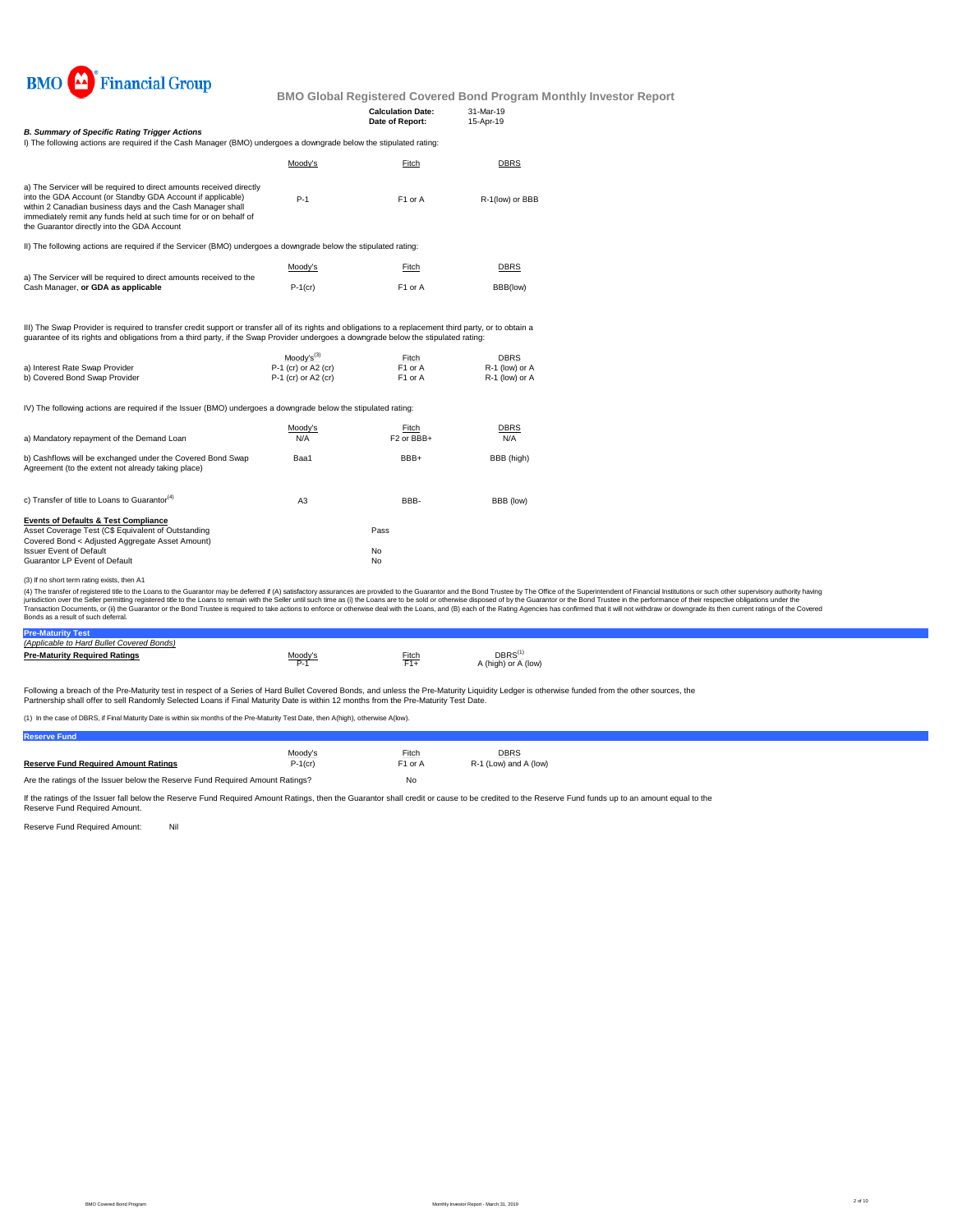

|                                                                                                                                                                                                                                                                                                                       |                                            |                                             | טווי דוסעטו דוסטים שטופיט טאים ומעטיס טווים |
|-----------------------------------------------------------------------------------------------------------------------------------------------------------------------------------------------------------------------------------------------------------------------------------------------------------------------|--------------------------------------------|---------------------------------------------|---------------------------------------------|
|                                                                                                                                                                                                                                                                                                                       |                                            | <b>Calculation Date:</b><br>Date of Report: | 31-Mar-19<br>15-Apr-19                      |
| <b>B. Summary of Specific Rating Trigger Actions</b><br>I) The following actions are required if the Cash Manager (BMO) undergoes a downgrade below the stipulated rating:                                                                                                                                            |                                            |                                             |                                             |
|                                                                                                                                                                                                                                                                                                                       | Moody's                                    | Fitch                                       | DBRS                                        |
| a) The Servicer will be required to direct amounts received directly<br>into the GDA Account (or Standby GDA Account if applicable)<br>within 2 Canadian business days and the Cash Manager shall<br>immediately remit any funds held at such time for or on behalf of<br>the Guarantor directly into the GDA Account | $P-1$                                      | F <sub>1</sub> or A                         | R-1(low) or BBB                             |
| II) The following actions are required if the Servicer (BMO) undergoes a downgrade below the stipulated rating:                                                                                                                                                                                                       |                                            |                                             |                                             |
|                                                                                                                                                                                                                                                                                                                       | Moody's                                    | Fitch                                       | <b>DBRS</b>                                 |
| a) The Servicer will be required to direct amounts received to the<br>Cash Manager, or GDA as applicable                                                                                                                                                                                                              | $P-1$ (cr)                                 | F <sub>1</sub> or A                         | BBB(low)                                    |
| III) The Swap Provider is required to transfer credit support or transfer all of its rights and obligations to a replacement third party, or to obtain a<br>quarantee of its rights and obligations from a third party, if the Swap Provider undergoes a downgrade below the stipulated rating:                       |                                            |                                             |                                             |
|                                                                                                                                                                                                                                                                                                                       | $Modv's^{(3)}$                             | Fitch                                       | <b>DBRS</b>                                 |
| a) Interest Rate Swap Provider<br>b) Covered Bond Swap Provider                                                                                                                                                                                                                                                       | P-1 (cr) or A2 (cr)<br>P-1 (cr) or A2 (cr) | F1 or A<br>F1 or A                          | R-1 (low) or A<br>R-1 (low) or A            |
| IV) The following actions are required if the Issuer (BMO) undergoes a downgrade below the stipulated rating:                                                                                                                                                                                                         |                                            |                                             |                                             |
| a) Mandatory repayment of the Demand Loan                                                                                                                                                                                                                                                                             | Moody's<br>N/A                             | Fitch<br>F <sub>2</sub> or BB <sub>H</sub>  | DBRS<br>N/A                                 |
| b) Cashflows will be exchanged under the Covered Bond Swap<br>Agreement (to the extent not already taking place)                                                                                                                                                                                                      | Baa1                                       | BBB+                                        | BBB (high)                                  |
| c) Transfer of title to Loans to Guarantor <sup>(4)</sup>                                                                                                                                                                                                                                                             | A3                                         | BBB-                                        | BBB (low)                                   |
| <b>Events of Defaults &amp; Test Compliance</b><br>Asset Coverage Test (C\$ Equivalent of Outstanding<br>Covered Bond < Adjusted Aggregate Asset Amount)                                                                                                                                                              |                                            | Pass                                        |                                             |
| <b>Issuer Event of Default</b><br>Guarantor LP Event of Default                                                                                                                                                                                                                                                       |                                            | No<br>No                                    |                                             |
|                                                                                                                                                                                                                                                                                                                       |                                            |                                             |                                             |

<sup>(3)</sup> If no short term rating exists, then A1

(4) The transfer of registered title to the Loans to the Guarantor may be deferred if (A) satisfactory assurances are provided to the Guarantor and the Bond Trustee by The Office of the Superintendent of Financial Institut Bonds as a result of such deferral.

#### **Pre-Maturity Test**

| (Applicable to Hard Bullet Covered Bonds) |         |       |                              |
|-------------------------------------------|---------|-------|------------------------------|
| <b>Pre-Maturity Required Ratings</b>      | Moody's | Fitch | DBRS'<br>A (high) or A (low) |

Following a breach of the Pre-Maturity test in respect of a Series of Hard Bullet Covered Bonds, and unless the Pre-Maturity Liquidity Ledger is otherwise funded from the other sources, the<br>Partnership shall offer to sell

(1) In the case of DBRS, if Final Maturity Date is within six months of the Pre-Maturity Test Date, then A(high), otherwise A(low).

| <b>Reserve Fund</b>                                                           |            |                     |                       |
|-------------------------------------------------------------------------------|------------|---------------------|-----------------------|
|                                                                               | Moodv's    | Fitch               | <b>DBRS</b>           |
| <b>Reserve Fund Required Amount Ratings</b>                                   | $P-1$ (cr) | F <sub>1</sub> or A | R-1 (Low) and A (low) |
| Are the ratings of the Issuer below the Reserve Fund Required Amount Ratings? |            | No                  |                       |

If the ratings of the Issuer fall below the Reserve Fund Required Amount Ratings, then the Guarantor shall credit or cause to be credited to the Reserve Fund funds up to an amount equal to the<br>Reserve Fund Required Amount.

Reserve Fund Required Amount: Nil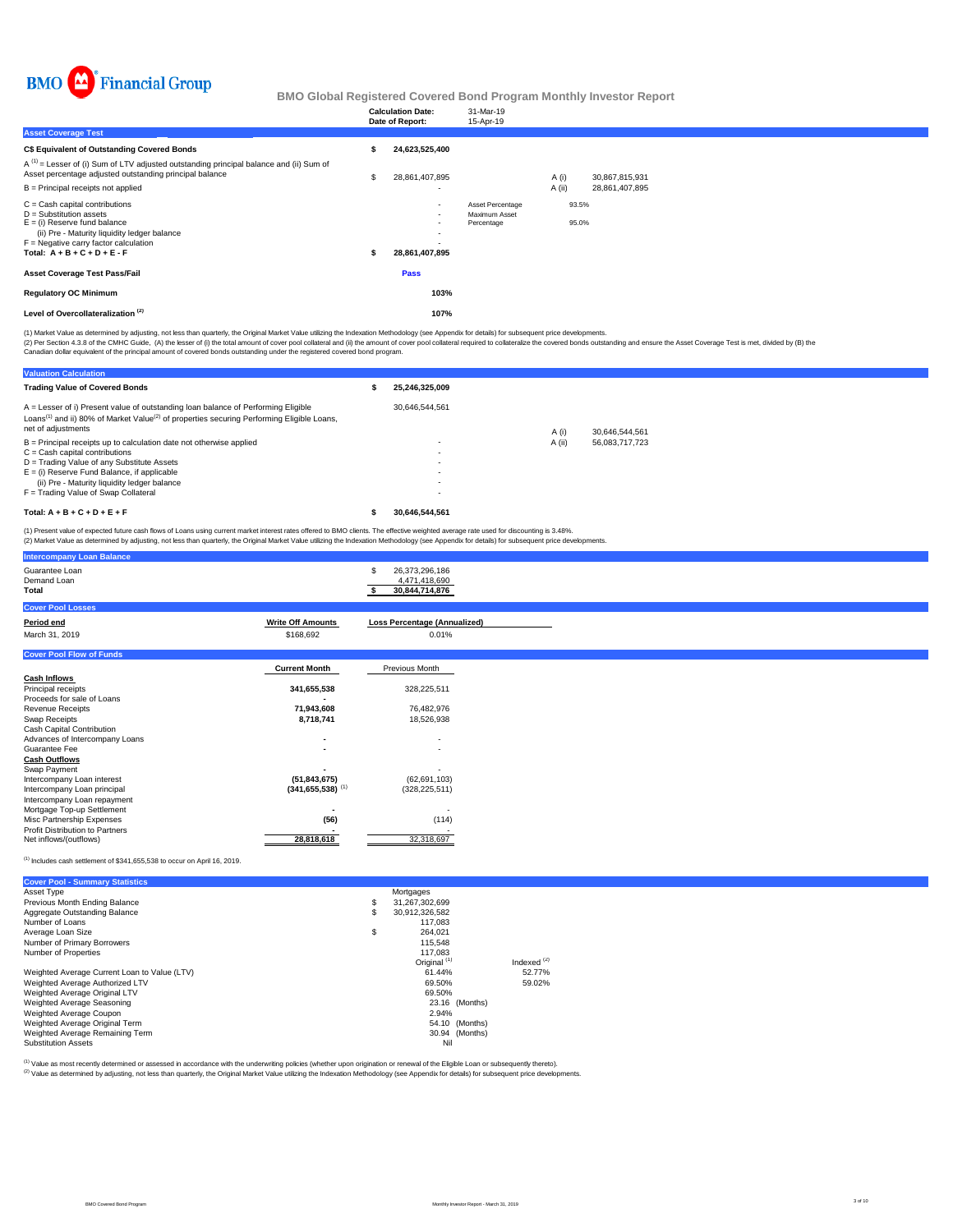

|                                                                                                                                                                                                                              |   | <b>Calculation Date:</b><br>Date of Report:                | 31-Mar-19<br>15-Apr-19                          |          |                |                |  |
|------------------------------------------------------------------------------------------------------------------------------------------------------------------------------------------------------------------------------|---|------------------------------------------------------------|-------------------------------------------------|----------|----------------|----------------|--|
| <b>Asset Coverage Test</b>                                                                                                                                                                                                   |   |                                                            |                                                 |          |                |                |  |
| C\$ Equivalent of Outstanding Covered Bonds                                                                                                                                                                                  |   | 24,623,525,400                                             |                                                 |          |                |                |  |
| $A^{(1)}$ = Lesser of (i) Sum of LTV adjusted outstanding principal balance and (ii) Sum of<br>Asset percentage adjusted outstanding principal balance                                                                       | S | 28,861,407,895                                             |                                                 | A (i)    |                | 30,867,815,931 |  |
| $B =$ Principal receipts not applied                                                                                                                                                                                         |   | $\overline{a}$                                             |                                                 | $A$ (ii) |                | 28,861,407,895 |  |
| $C =$ Cash capital contributions<br>$D =$ Substitution assets<br>$E =$ (i) Reserve fund balance<br>(ii) Pre - Maturity liquidity ledger balance<br>$F =$ Negative carry factor calculation<br>Total: $A + B + C + D + E - F$ | s | $\overline{\phantom{a}}$<br>۰.<br>۰<br>٠<br>28,861,407,895 | Asset Percentage<br>Maximum Asset<br>Percentage |          | 93.5%<br>95.0% |                |  |
| <b>Asset Coverage Test Pass/Fail</b>                                                                                                                                                                                         |   | Pass                                                       |                                                 |          |                |                |  |
| <b>Regulatory OC Minimum</b>                                                                                                                                                                                                 |   | 103%                                                       |                                                 |          |                |                |  |
| Level of Overcollateralization <sup>(2)</sup>                                                                                                                                                                                |   | 107%                                                       |                                                 |          |                |                |  |

(1) Market Value as determined by adjusting, not less than quarterly, the Original Market Value utilizing the Indexation Methodology (see Appendix for details) for subsequent price developments.

(2) Per Section 4.3.8 of the CMHC Guide, (A) the lesser of (i) the total amount of cover pool collateral and (ii) the amount of covered bonds departed and chase the overed bonds by (B) the Calculation of the policial exper

**Valuation Calculation Trading Value of Covered Bonds \$ 25,246,325,009** 30,646,544,561 A (i) 30,646,544,561<br>A (ii) 56,083,717,723  $B =$  Principal receipts up to calculation date not otherwise applied C = Cash capital contributions - D = Trading Value of any Substitute Assets - E = (i) Reserve Fund Balance, if applicable - (ii) Pre - Maturity liquidity ledger balance - F = Trading Value of Swap Collateral - **Total: A + B + C + D + E + F \$ 30,646,544,561** A = Lesser of i) Present value of outstanding loan balance of Performing Eligible Loans<sup>(1)</sup> and ii) 80% of Market Value<sup>(2)</sup> of properties securing Performing Eligible Loans, net of adjustments

(1) Present value of expected future cash flows of Loans using current market interest rates offered to BMO clients. The effective weighted average rate used for discounting is 3.48%.<br>(2) Market Value as determined by adju

| (2) Market Value as determined by adjusting, not less than quarterly, the Original Market Value utilizing the Indexation Methodology (see Appendix for details) for subsequent price developments. |                          |                                                   |  |
|----------------------------------------------------------------------------------------------------------------------------------------------------------------------------------------------------|--------------------------|---------------------------------------------------|--|
| <b>Intercompany Loan Balance</b>                                                                                                                                                                   |                          |                                                   |  |
| Guarantee Loan<br>Demand Loan<br>Total                                                                                                                                                             |                          | 26,373,296,186<br>4,471,418,690<br>30,844,714,876 |  |
| <b>Cover Pool Losses</b>                                                                                                                                                                           |                          |                                                   |  |
| Period end                                                                                                                                                                                         | <b>Write Off Amounts</b> | <b>Loss Percentage (Annualized)</b>               |  |
| March 31, 2019                                                                                                                                                                                     | \$168,692                | 0.01%                                             |  |
| <b>Cover Pool Flow of Funds</b>                                                                                                                                                                    |                          |                                                   |  |
|                                                                                                                                                                                                    | <b>Current Month</b>     | Previous Month                                    |  |
| <b>Cash Inflows</b>                                                                                                                                                                                |                          |                                                   |  |
| Principal receipts                                                                                                                                                                                 | 341,655,538              | 328,225,511                                       |  |
| Proceeds for sale of Loans                                                                                                                                                                         |                          |                                                   |  |
| <b>Revenue Receipts</b>                                                                                                                                                                            | 71.943.608               | 76,482,976                                        |  |
| Swap Receipts                                                                                                                                                                                      | 8,718,741                | 18,526,938                                        |  |
| Cash Capital Contribution                                                                                                                                                                          |                          |                                                   |  |
| Advances of Intercompany Loans                                                                                                                                                                     |                          |                                                   |  |

Guarantee Fee **-** - **Cash Outflows** Swap Payment **-** - Intercompany Loan interest **(51,843,675)** (62,691,103) Intercompany Loan principal **(341,655,538)** (1) (328,225,511) Intercompany Loan repayment Mortgage Top-up Settlement **-** - Misc Partnership Expenses **(56)** (114) Profit Distribution to Partners **-** - Net inflows/(outflows) **28,818,618** 32,318,697

 $<sup>(1)</sup>$  Includes cash settlement of \$341,655,538 to occur on April 16, 2019.</sup>

| <b>Cover Pool - Summary Statistics</b>       |                         |               |
|----------------------------------------------|-------------------------|---------------|
| Asset Type                                   | Mortgages               |               |
| Previous Month Ending Balance                | \$<br>31,267,302,699    |               |
| Aggregate Outstanding Balance                | \$<br>30,912,326,582    |               |
| Number of Loans                              | 117.083                 |               |
| Average Loan Size                            | \$<br>264.021           |               |
| Number of Primary Borrowers                  | 115,548                 |               |
| Number of Properties                         | 117.083                 |               |
|                                              | Original <sup>(1)</sup> | Indexed $(2)$ |
| Weighted Average Current Loan to Value (LTV) | 61.44%                  | 52.77%        |
| Weighted Average Authorized LTV              | 69.50%                  | 59.02%        |
| Weighted Average Original LTV                | 69.50%                  |               |
| Weighted Average Seasoning                   | 23.16 (Months)          |               |
| Weighted Average Coupon                      | 2.94%                   |               |
| Weighted Average Original Term               | (Months)<br>54.10       |               |
| Weighted Average Remaining Term              | 30.94 (Months)          |               |
| <b>Substitution Assets</b>                   | Nil                     |               |

(2) Value as determined by adjusting, not less than quarterly, the Original Market Value utilizing the Indexation Methodology (see Appendix for details) for subsequent price developments. (1) Value as most recently determined or assessed in accordance with the underwriting policies (whether upon origination or renewal of the Eligible Loan or subsequently thereto).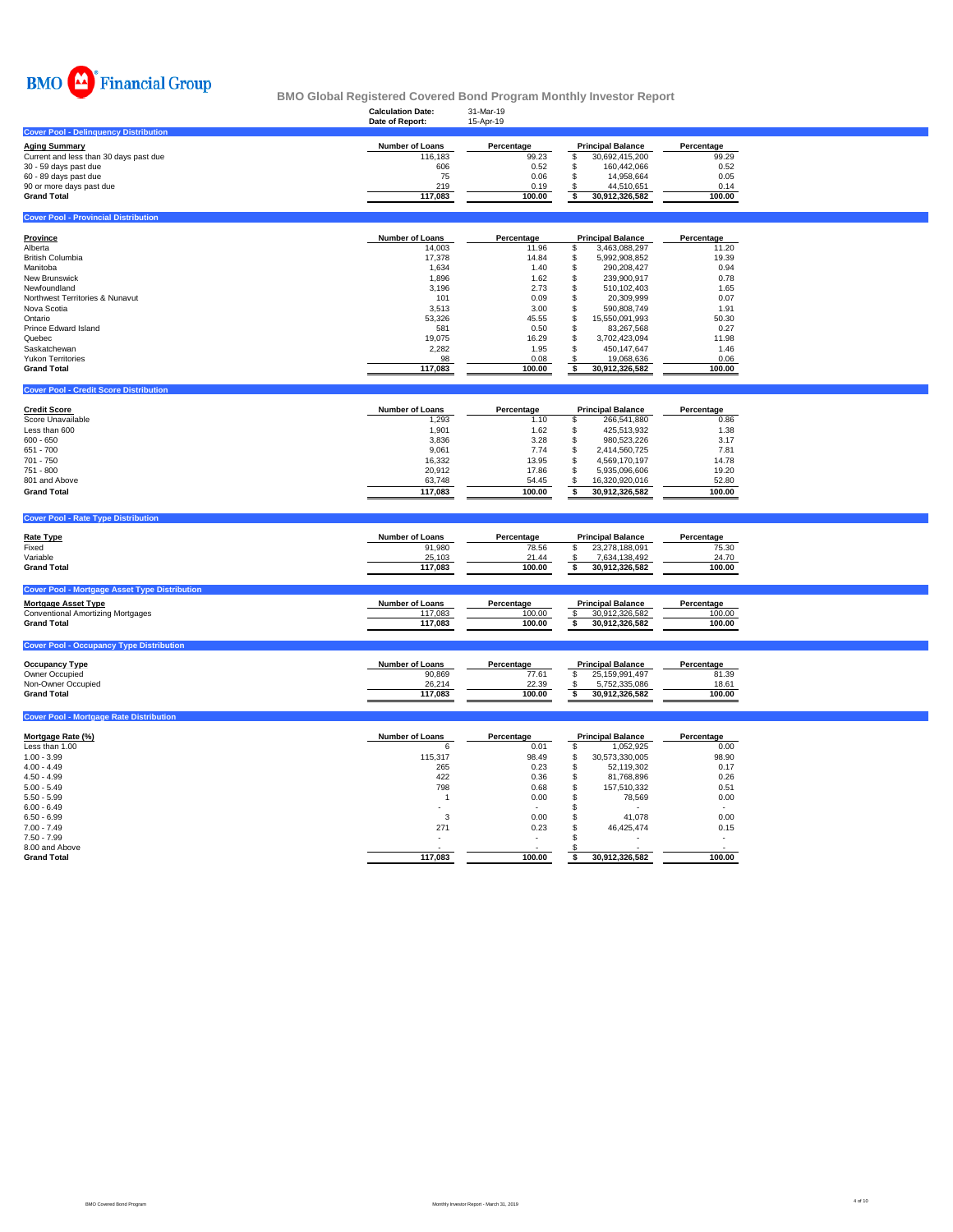

|                                               | ania alaman liagustalaa aatalaa aalla liivgittiiliinalliilijiilitaatal liapalt |                        |                                                |                             |
|-----------------------------------------------|--------------------------------------------------------------------------------|------------------------|------------------------------------------------|-----------------------------|
|                                               | <b>Calculation Date:</b><br>Date of Report:                                    | 31-Mar-19<br>15-Apr-19 |                                                |                             |
| <b>Cover Pool - Delinguency Distribution</b>  |                                                                                |                        |                                                |                             |
| <b>Aging Summary</b>                          | <b>Number of Loans</b>                                                         | Percentage             | <b>Principal Balance</b>                       | Percentage                  |
| Current and less than 30 days past due        | 116,183                                                                        | 99.23                  | £.<br>30,692,415,200                           | 99.29                       |
| 30 - 59 days past due                         | 606                                                                            | 0.52                   | 160,442,066                                    | 0.52                        |
| 60 - 89 days past due                         | 75                                                                             | 0.06                   | 14.958.664                                     | 0.05                        |
| 90 or more days past due                      | 219                                                                            | 0.19                   | 44.510.651                                     | 0.14                        |
| <b>Grand Total</b>                            | 117,083                                                                        | 100.00                 | 30,912,326,582                                 | 100.00                      |
|                                               |                                                                                |                        |                                                |                             |
| <b>Cover Pool - Provincial Distribution</b>   |                                                                                |                        |                                                |                             |
| Province                                      | <b>Number of Loans</b>                                                         | Percentage             | <b>Principal Balance</b>                       | Percentage                  |
| Alberta                                       | 14,003                                                                         | 11.96                  | 3,463,088,297                                  | 11.20                       |
| <b>British Columbia</b>                       | 17,378                                                                         | 14.84                  | 5,992,908,852                                  | 19.39                       |
| Manitoba                                      | 1,634                                                                          | 1.40                   | 290.208.427                                    | 0.94                        |
| <b>New Brunswick</b>                          | 1,896                                                                          | 1.62                   | 239,900,917                                    | 0.78                        |
| Newfoundland                                  | 3,196                                                                          | 2.73                   | 510,102,403                                    | 1.65                        |
| Northwest Territories & Nunavut               | 101                                                                            | 0.09                   | 20,309,999                                     | 0.07                        |
| Nova Scotia                                   | 3,513                                                                          | 3.00                   | 590,808,749                                    | 1.91                        |
| Ontario                                       | 53,326                                                                         | 45.55                  | 15,550,091,993                                 | 50.30                       |
| Prince Edward Island                          | 581                                                                            | 0.50                   | 83.267.568                                     | 0.27                        |
| Quebec                                        | 19,075                                                                         | 16.29                  | 3,702,423,094                                  | 11.98                       |
| Saskatchewan                                  | 2,282                                                                          | 1.95                   | 450,147,647                                    | 1.46                        |
| <b>Yukon Territories</b>                      | 98                                                                             | 0.08                   | 19,068,636                                     | 0.06                        |
| <b>Grand Total</b>                            | 117,083                                                                        | 100.00                 | 30,912,326,582                                 | 100.00                      |
| <b>Cover Pool - Credit Score Distribution</b> |                                                                                |                        |                                                |                             |
|                                               | <b>Number of Loans</b>                                                         |                        |                                                |                             |
| <b>Credit Score</b>                           | $1 - 0.00$                                                                     | Percentage             | <b>Principal Balance</b><br>$\cdots$<br>$\sim$ | Percentage<br>$\sim$ $\sim$ |

| -.-------          |         | .      |                | .      |
|--------------------|---------|--------|----------------|--------|
| Score Unavailable  | 1,293   | 1.10   | 266.541.880    | 0.86   |
| Less than 600      | 1.901   | 1.62   | 425.513.932    | 1.38   |
| $600 - 650$        | 3,836   | 3.28   | 980.523.226    | 3.17   |
| 651 - 700          | 9,061   | 7.74   | 2.414.560.725  | 7.81   |
| $701 - 750$        | 16.332  | 13.95  | 4.569.170.197  | 14.78  |
| $751 - 800$        | 20,912  | 17.86  | 5.935.096.606  | 19.20  |
| 801 and Above      | 63.748  | 54.45  | 16.320.920.016 | 52.80  |
| <b>Grand Total</b> | 117.083 | 100.00 | 30.912.326.582 | 100.00 |
|                    |         |        |                |        |

### **Cover Pool - Rate Type Distribution**

**Cover Pool - Mortgage Rate Distribution** 

| <b>Rate Type</b>                                     | <b>Number of Loans</b> | Percentage | <b>Principal Balance</b> | Percentage |
|------------------------------------------------------|------------------------|------------|--------------------------|------------|
| Fixed                                                | 91,980                 | 78.56      | 23.278.188.091           | 75.30      |
| Variable                                             | 25,103                 | 21.44      | 7.634.138.492            | 24.70      |
| <b>Grand Total</b>                                   | 117.083                | 100.00     | 30.912.326.582           | 100.00     |
| <b>Cover Pool - Mortgage Asset Type Distribution</b> |                        |            |                          |            |
| <b>Mortgage Asset Type</b>                           | <b>Number of Loans</b> | Percentage | <b>Principal Balance</b> | Percentage |
| <b>Conventional Amortizing Mortgages</b>             | 117.083                | 100.00     | 30.912.326.582           | 100.00     |
| <b>Grand Total</b>                                   | 117.083                | 100.00     | 30.912.326.582           | 100.00     |

# **Cover Pool - Occupancy Type Distribution**

| <b>Occupancy Type</b> | <b>Number of Loans</b> | Percentage | <b>Principal Balance</b> | Percentage |
|-----------------------|------------------------|------------|--------------------------|------------|
| Owner Occupied        | 90,869                 | 77.61      | 25.159.991.497           | 81.39      |
| Non-Owner Occupied    | 26.214                 | 22.39      | 752.335.086              | 18.61      |
| <b>Grand Total</b>    | 117.083                | 100.00     | 30.912.326.582           | 100.00     |
|                       |                        |            |                          |            |

| Mortgage Rate (%)  | <b>Number of Loans</b>   | Percentage               | <b>Principal Balance</b> |                | Percentage |  |
|--------------------|--------------------------|--------------------------|--------------------------|----------------|------------|--|
| Less than 1.00     | 6                        | 0.01                     |                          | 1,052,925      | 0.00       |  |
| $1.00 - 3.99$      | 115,317                  | 98.49                    |                          | 30,573,330,005 | 98.90      |  |
| $4.00 - 4.49$      | 265                      | 0.23                     | <b>J</b>                 | 52,119,302     | 0.17       |  |
| $4.50 - 4.99$      | 422                      | 0.36                     |                          | 81,768,896     | 0.26       |  |
| $5.00 - 5.49$      | 798                      | 0.68                     |                          | 157.510.332    | 0.51       |  |
| $5.50 - 5.99$      |                          | 0.00                     |                          | 78,569         | 0.00       |  |
| $6.00 - 6.49$      |                          | $\overline{\phantom{a}}$ |                          | ٠              |            |  |
| $6.50 - 6.99$      | 3                        | 0.00                     |                          | 41.078         | 0.00       |  |
| $7.00 - 7.49$      | 271                      | 0.23                     |                          | 46.425.474     | 0.15       |  |
| $7.50 - 7.99$      | $\overline{\phantom{a}}$ |                          |                          | ٠              |            |  |
| 8.00 and Above     |                          |                          |                          |                |            |  |
| <b>Grand Total</b> | 117,083                  | 100.00                   |                          | 30,912,326,582 | 100.00     |  |
|                    |                          |                          |                          |                |            |  |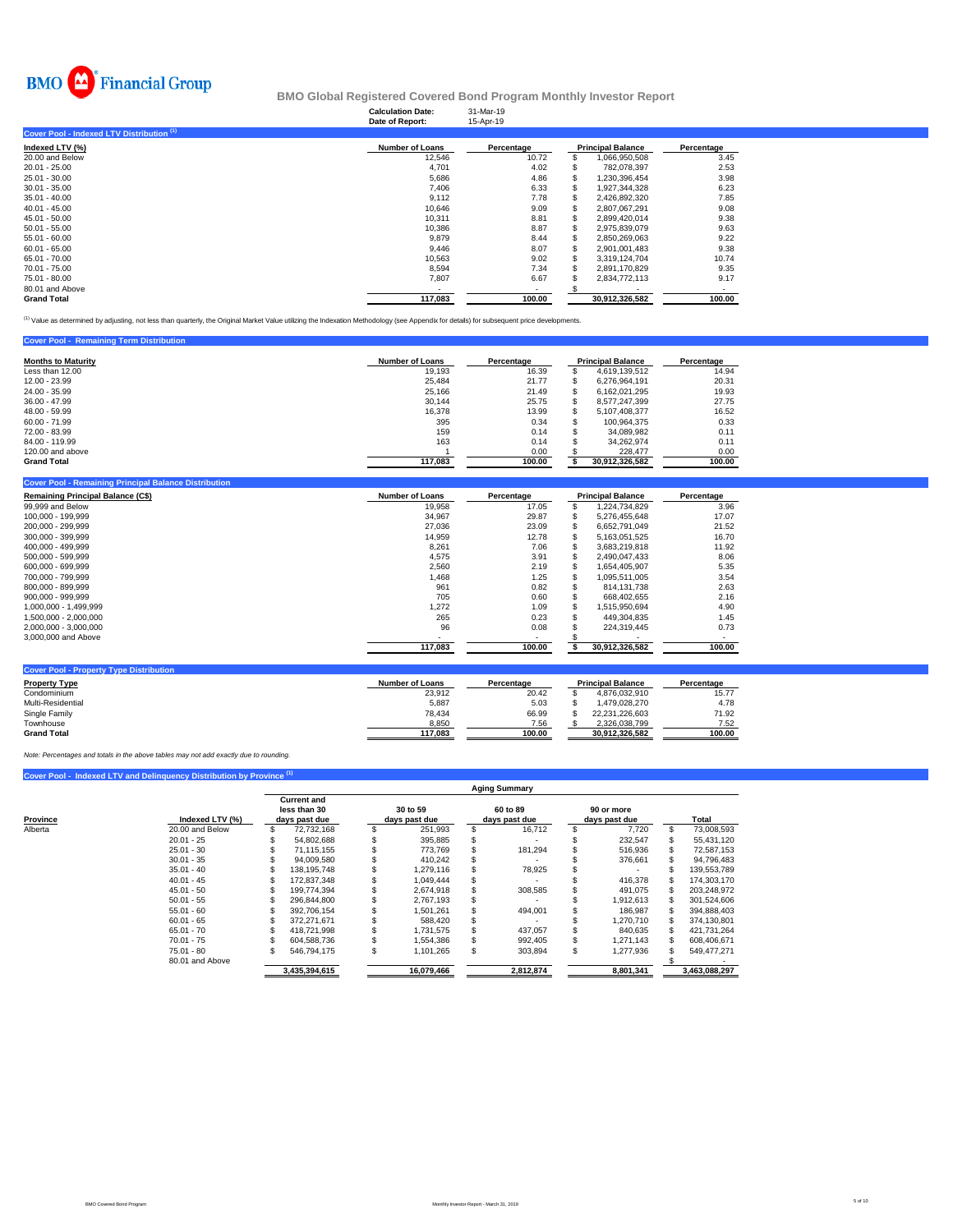

### **Calculation Date:** 31-Mar-19 **BMO Global Registered Covered Bond Program Monthly Investor Report**

| Date of Report:        | 15-Apr-19  |                |                          |
|------------------------|------------|----------------|--------------------------|
|                        |            |                |                          |
| <b>Number of Loans</b> | Percentage |                | Percentage               |
| 12,546                 | 10.72      | 1,066,950,508  | 3.45                     |
| 4.701                  | 4.02       | 782.078.397    | 2.53                     |
| 5,686                  | 4.86       | 1,230,396,454  | 3.98                     |
| 7.406                  | 6.33       | 1.927.344.328  | 6.23                     |
| 9,112                  | 7.78       | 2,426,892,320  | 7.85                     |
| 10.646                 | 9.09       | 2.807.067.291  | 9.08                     |
| 10,311                 | 8.81       | 2,899,420,014  | 9.38                     |
| 10,386                 | 8.87       | 2.975.839.079  | 9.63                     |
| 9.879                  | 8.44       | 2.850.269.063  | 9.22                     |
| 9,446                  | 8.07       | 2.901.001.483  | 9.38                     |
| 10.563                 | 9.02       | 3.319.124.704  | 10.74                    |
| 8.594                  | 7.34       | 2.891.170.829  | 9.35                     |
| 7,807                  | 6.67       | 2.834.772.113  | 9.17                     |
|                        |            |                |                          |
| 117.083                | 100.00     | 30.912.326.582 | 100.00                   |
|                        |            |                | <b>Principal Balance</b> |

(1) Value as determined by adjusting, not less than quarterly, the Original Market Value utilizing the Indexation Methodology (see Appendix for details) for subsequent price developments.

### **Cover Pool - Remaining Term Distributi**

| <b>Months to Maturity</b> | <b>Number of Loans</b> | Percentage |     | <b>Principal Balance</b> | Percentage |
|---------------------------|------------------------|------------|-----|--------------------------|------------|
| Less than 12.00           | 19,193                 | 16.39      |     | 4.619.139.512            | 14.94      |
| 12.00 - 23.99             | 25,484                 | 21.77      |     | 6.276.964.191            | 20.31      |
| 24.00 - 35.99             | 25,166                 | 21.49      |     | 6.162.021.295            | 19.93      |
| $36.00 - 47.99$           | 30.144                 | 25.75      |     | 8.577.247.399            | 27.75      |
| 48.00 - 59.99             | 16,378                 | 13.99      |     | 5.107.408.377            | 16.52      |
| $60.00 - 71.99$           | 395                    | 0.34       | \$. | 100.964.375              | 0.33       |
| 72.00 - 83.99             | 159                    | 0.14       |     | 34.089.982               | 0.11       |
| 84.00 - 119.99            | 163                    | 0.14       |     | 34.262.974               | 0.11       |
| 120,00 and above          |                        | 0.00       |     | 228,477                  | 0.00       |
| <b>Grand Total</b>        | 117,083                | 100.00     |     | 30.912.326.582           | 100.00     |

| Cover Pool - Remaining Principal Balance Distribution |                        |                          |                          |            |
|-------------------------------------------------------|------------------------|--------------------------|--------------------------|------------|
| <b>Remaining Principal Balance (C\$)</b>              | <b>Number of Loans</b> | Percentage               | <b>Principal Balance</b> | Percentage |
| 99,999 and Below                                      | 19,958                 | 17.05                    | 1,224,734,829            | 3.96       |
| 100.000 - 199.999                                     | 34.967                 | 29.87                    | 5.276.455.648            | 17.07      |
| 200.000 - 299.999                                     | 27,036                 | 23.09                    | 6,652,791,049            | 21.52      |
| 300.000 - 399.999                                     | 14,959                 | 12.78                    | 5,163,051,525            | 16.70      |
| 400.000 - 499.999                                     | 8.261                  | 7.06                     | 3.683.219.818            | 11.92      |
| 500.000 - 599.999                                     | 4,575                  | 3.91                     | 2,490,047,433            | 8.06       |
| 600.000 - 699.999                                     | 2,560                  | 2.19                     | 1,654,405,907            | 5.35       |
| 700.000 - 799.999                                     | 1,468                  | 1.25                     | 1.095.511.005            | 3.54       |
| 800.000 - 899.999                                     | 961                    | 0.82                     | 814.131.738              | 2.63       |
| 900,000 - 999,999                                     | 705                    | 0.60                     | 668,402,655              | 2.16       |
| 1.000.000 - 1.499.999                                 | 1,272                  | 1.09                     | 1.515.950.694            | 4.90       |
| 1.500.000 - 2.000.000                                 | 265                    | 0.23                     | 449.304.835              | 1.45       |
| 2,000,000 - 3,000,000                                 | 96                     | 0.08                     | 224,319,445              | 0.73       |
| 3,000,000 and Above                                   |                        | $\overline{\phantom{a}}$ |                          |            |
|                                                       | 117,083                | 100.00                   | 30,912,326,582           | 100.00     |
|                                                       |                        |                          |                          |            |
| <b>Cover Pool - Property Type Distribution</b>        |                        |                          |                          |            |

| <b>Property Type</b> | <b>Number of Loans</b> | Percentage | <b>Principal Balance</b> | Percentage |  |  |
|----------------------|------------------------|------------|--------------------------|------------|--|--|
| Condominium          | 23.912                 | 20.42      | 4.876.032.910            | 15.77      |  |  |
| Multi-Residential    | 5.887                  | 5.03       | .479.028.270             | 4.78       |  |  |
| Single Family        | 78.434                 | 66.99      | 22.231.226.603           | 71.92      |  |  |
| Townhouse            | 8.850                  | 7.56       | 2.326.038.799            | 7.52       |  |  |
| <b>Grand Total</b>   | 117.083                | 100.00     | 30.912.326.582           | 100.00     |  |  |

*Note: Percentages and totals in the above tables may not add exactly due to rounding.*

|          | Cover Pool - Indexed LTV and Delinquency Distribution by Province <sup>(1)</sup> |               |                    |               |            |                      |            |               |    |               |
|----------|----------------------------------------------------------------------------------|---------------|--------------------|---------------|------------|----------------------|------------|---------------|----|---------------|
|          |                                                                                  |               |                    |               |            | <b>Aging Summary</b> |            |               |    |               |
|          |                                                                                  |               | <b>Current and</b> |               |            |                      |            |               |    |               |
|          |                                                                                  |               | less than 30       |               | 30 to 59   | 60 to 89             | 90 or more |               |    |               |
| Province | Indexed LTV (%)                                                                  | days past due |                    | days past due |            | days past due        |            | days past due |    | Total         |
| Alberta  | 20.00 and Below                                                                  |               | 72,732,168         |               | 251,993    | 16,712               |            | 7.720         | \$ | 73,008,593    |
|          | $20.01 - 25$                                                                     |               | 54.802.688         |               | 395.885    |                      |            | 232,547       |    | 55,431,120    |
|          | $25.01 - 30$                                                                     |               | 71.115.155         |               | 773.769    | 181.294              |            | 516,936       |    | 72,587,153    |
|          | $30.01 - 35$                                                                     |               | 94.009.580         |               | 410.242    |                      |            | 376,661       |    | 94,796,483    |
|          | $35.01 - 40$                                                                     |               | 138, 195, 748      |               | 1,279,116  | 78,925               |            |               |    | 139,553,789   |
|          | $40.01 - 45$                                                                     |               | 172.837.348        |               | 1.049.444  |                      |            | 416.378       |    | 174,303,170   |
|          | $45.01 - 50$                                                                     |               | 199.774.394        |               | 2.674.918  | 308,585              |            | 491.075       |    | 203,248,972   |
|          | $50.01 - 55$                                                                     |               | 296.844.800        |               | 2.767.193  |                      |            | 1.912.613     |    | 301,524,606   |
|          | $55.01 - 60$                                                                     |               | 392.706.154        |               | 1,501,261  | 494.001              |            | 186,987       |    | 394,888,403   |
|          | $60.01 - 65$                                                                     |               | 372.271.671        |               | 588,420    |                      |            | 1.270.710     |    | 374.130.801   |
|          | $65.01 - 70$                                                                     |               | 418.721.998        |               | 1,731,575  | 437.057              |            | 840.635       |    | 421,731,264   |
|          | $70.01 - 75$                                                                     |               | 604.588.736        |               | 1,554,386  | 992,405              |            | 1.271.143     |    | 608,406,671   |
|          | $75.01 - 80$                                                                     |               | 546.794.175        | S             | 1.101.265  | 303,894              | ж          | 1.277.936     |    | 549.477.271   |
|          | 80.01 and Above                                                                  |               |                    |               |            |                      |            |               |    |               |
|          |                                                                                  |               | 3.435.394.615      |               | 16.079.466 | 2.812.874            |            | 8.801.341     |    | 3.463.088.297 |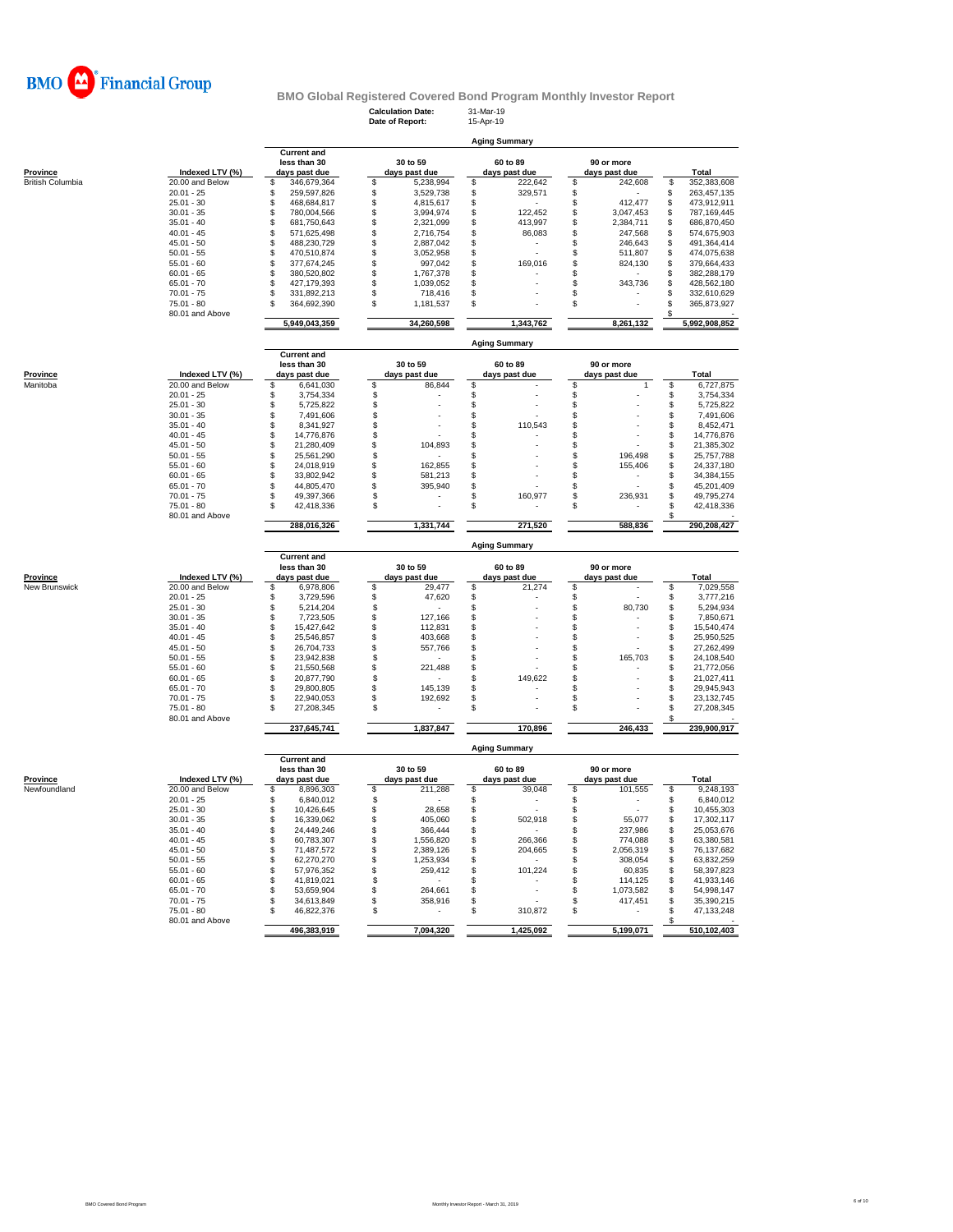

**Calculation Date:** 31-Mar-19 **Date of Report:** 15-Apr-19

| Province<br><sub>V</sub> lanitoba |  |  |
|-----------------------------------|--|--|
|                                   |  |  |

|                  |                                    |                                                     |               |                           |            |                           | <b>Aging Summary</b> |                             |           |               |
|------------------|------------------------------------|-----------------------------------------------------|---------------|---------------------------|------------|---------------------------|----------------------|-----------------------------|-----------|---------------|
| Province         | Indexed LTV (%)<br>20.00 and Below | <b>Current and</b><br>less than 30<br>days past due |               | 30 to 59<br>days past due |            | 60 to 89<br>days past due |                      | 90 or more<br>days past due |           | Total         |
| British Columbia |                                    |                                                     | 346,679,364   |                           | 5,238,994  | \$                        | 222,642              |                             | 242,608   | 352,383,608   |
|                  | $20.01 - 25$                       |                                                     | 259,597,826   |                           | 3,529,738  |                           | 329,571              |                             |           | 263,457,135   |
|                  | $25.01 - 30$                       |                                                     | 468.684.817   |                           | 4.815.617  |                           |                      |                             | 412.477   | 473.912.911   |
|                  | $30.01 - 35$                       |                                                     | 780,004,566   |                           | 3,994,974  |                           | 122,452              |                             | 3,047,453 | 787,169,445   |
|                  | $35.01 - 40$                       |                                                     | 681,750,643   |                           | 2,321,099  |                           | 413,997              |                             | 2,384,711 | 686,870,450   |
|                  | $40.01 - 45$                       |                                                     | 571,625,498   |                           | 2,716,754  |                           | 86,083               |                             | 247,568   | 574,675,903   |
|                  | $45.01 - 50$                       |                                                     | 488,230,729   |                           | 2,887,042  |                           |                      |                             | 246,643   | 491,364,414   |
|                  | $50.01 - 55$                       |                                                     | 470,510,874   |                           | 3,052,958  |                           |                      |                             | 511,807   | 474,075,638   |
|                  | $55.01 - 60$                       |                                                     | 377,674,245   |                           | 997,042    |                           | 169,016              |                             | 824.130   | 379,664,433   |
|                  | $60.01 - 65$                       |                                                     | 380,520,802   |                           | 1,767,378  |                           |                      |                             |           | 382,288,179   |
|                  | $65.01 - 70$                       |                                                     | 427.179.393   |                           | 1.039.052  |                           |                      |                             | 343,736   | 428,562,180   |
|                  | $70.01 - 75$                       |                                                     | 331,892,213   |                           | 718,416    |                           |                      |                             |           | 332,610,629   |
|                  | 75.01 - 80                         |                                                     | 364,692,390   | S                         | 1,181,537  |                           |                      |                             |           | 365,873,927   |
|                  | 80.01 and Above                    |                                                     |               |                           |            |                           |                      |                             |           |               |
|                  |                                    |                                                     | 5,949,043,359 |                           | 34,260,598 |                           | 1,343,762            |                             | 8,261,132 | 5,992,908,852 |

|          |                 | Aging Summary                                       |             |                           |           |                           |         |                             |         |  |             |  |
|----------|-----------------|-----------------------------------------------------|-------------|---------------------------|-----------|---------------------------|---------|-----------------------------|---------|--|-------------|--|
| Province | Indexed LTV (%) | <b>Current and</b><br>less than 30<br>days past due |             | 30 to 59<br>days past due |           | 60 to 89<br>days past due |         | 90 or more<br>days past due |         |  | Total       |  |
| Manitoba | 20,00 and Below |                                                     | 6,641,030   |                           | 86,844    |                           |         |                             |         |  | 6,727,875   |  |
|          | $20.01 - 25$    |                                                     | 3,754,334   |                           |           |                           |         |                             |         |  | 3,754,334   |  |
|          | $25.01 - 30$    |                                                     | 5,725,822   |                           |           |                           |         |                             |         |  | 5,725,822   |  |
|          | $30.01 - 35$    |                                                     | 7,491,606   |                           |           |                           |         |                             |         |  | 7,491,606   |  |
|          | $35.01 - 40$    |                                                     | 8,341,927   |                           |           |                           | 110,543 |                             |         |  | 8,452,471   |  |
|          | $40.01 - 45$    |                                                     | 14.776.876  |                           |           |                           |         |                             |         |  | 14,776,876  |  |
|          | $45.01 - 50$    |                                                     | 21.280.409  |                           | 104,893   |                           |         |                             |         |  | 21,385,302  |  |
|          | $50.01 - 55$    |                                                     | 25.561.290  |                           |           |                           |         |                             | 196.498 |  | 25,757,788  |  |
|          | $55.01 - 60$    |                                                     | 24.018.919  |                           | 162,855   |                           |         |                             | 155,406 |  | 24,337,180  |  |
|          | $60.01 - 65$    |                                                     | 33,802.942  |                           | 581,213   |                           |         |                             |         |  | 34,384,155  |  |
|          | $65.01 - 70$    |                                                     | 44,805,470  |                           | 395,940   |                           |         |                             |         |  | 45,201,409  |  |
|          | $70.01 - 75$    |                                                     | 49,397,366  |                           |           |                           | 160,977 |                             | 236,931 |  | 49,795,274  |  |
|          | $75.01 - 80$    |                                                     | 42.418.336  |                           |           |                           |         |                             |         |  | 42,418,336  |  |
|          | 80.01 and Above |                                                     |             |                           |           |                           |         |                             |         |  |             |  |
|          |                 |                                                     | 288.016.326 |                           | 1.331.744 |                           | 271,520 |                             | 588.836 |  | 290.208.427 |  |
|          |                 |                                                     |             |                           |           |                           |         |                             |         |  |             |  |

|               |                 | <b>Aging Summary</b> |                                                     |    |                           |  |                           |  |                             |  |             |  |  |  |  |
|---------------|-----------------|----------------------|-----------------------------------------------------|----|---------------------------|--|---------------------------|--|-----------------------------|--|-------------|--|--|--|--|
| Province      | Indexed LTV (%) |                      | <b>Current and</b><br>less than 30<br>days past due |    | 30 to 59<br>days past due |  | 60 to 89<br>days past due |  | 90 or more<br>days past due |  | Total       |  |  |  |  |
| New Brunswick | 20.00 and Below |                      | 6,978,806                                           |    | 29.477                    |  | 21.274                    |  |                             |  | 7,029,558   |  |  |  |  |
|               | $20.01 - 25$    |                      | 3.729.596                                           |    | 47.620                    |  |                           |  |                             |  | 3,777,216   |  |  |  |  |
|               | $25.01 - 30$    |                      | 5,214,204                                           |    |                           |  |                           |  | 80,730                      |  | 5,294,934   |  |  |  |  |
|               | $30.01 - 35$    |                      | 7.723.505                                           |    | 127.166                   |  |                           |  | ٠                           |  | 7.850.671   |  |  |  |  |
|               | $35.01 - 40$    |                      | 15,427,642                                          |    | 112,831                   |  | ٠                         |  |                             |  | 15,540,474  |  |  |  |  |
|               | $40.01 - 45$    |                      | 25.546.857                                          |    | 403,668                   |  |                           |  |                             |  | 25,950,525  |  |  |  |  |
|               | $45.01 - 50$    |                      | 26.704.733                                          |    | 557.766                   |  |                           |  |                             |  | 27.262.499  |  |  |  |  |
|               | $50.01 - 55$    |                      | 23,942,838                                          |    |                           |  | ٠                         |  | 165,703                     |  | 24,108,540  |  |  |  |  |
|               | $55.01 - 60$    |                      | 21.550.568                                          |    | 221,488                   |  |                           |  |                             |  | 21,772,056  |  |  |  |  |
|               | $60.01 - 65$    |                      | 20.877.790                                          |    |                           |  | 149,622                   |  | ۰                           |  | 21.027.411  |  |  |  |  |
|               | $65.01 - 70$    |                      | 29,800,805                                          |    | 145.139                   |  |                           |  | ۰                           |  | 29.945.943  |  |  |  |  |
|               | $70.01 - 75$    |                      | 22.940.053                                          |    | 192,692                   |  | ۰                         |  | ۰                           |  | 23,132,745  |  |  |  |  |
|               | $75.01 - 80$    |                      | 27,208,345                                          | £. | ۰                         |  | ٠                         |  | ۰                           |  | 27,208,345  |  |  |  |  |
|               | 80.01 and Above |                      |                                                     |    |                           |  |                           |  |                             |  |             |  |  |  |  |
|               |                 |                      | 237,645,741                                         |    | 1,837,847                 |  | 170,896                   |  | 246,433                     |  | 239,900,917 |  |  |  |  |

|              |                 | <b>Aging Summary</b> |                                                     |     |                           |     |                           |  |                             |    |             |  |  |  |  |
|--------------|-----------------|----------------------|-----------------------------------------------------|-----|---------------------------|-----|---------------------------|--|-----------------------------|----|-------------|--|--|--|--|
| Province     | Indexed LTV (%) |                      | <b>Current and</b><br>less than 30<br>days past due |     | 30 to 59<br>days past due |     | 60 to 89<br>days past due |  | 90 or more<br>days past due |    | Total       |  |  |  |  |
| Newfoundland | 20.00 and Below |                      | 8,896,303                                           | \$. | 211,288                   | \$. | 39,048                    |  | 101,555                     | \$ | 9,248,193   |  |  |  |  |
|              | $20.01 - 25$    |                      | 6.840.012                                           |     |                           |     |                           |  |                             |    | 6.840.012   |  |  |  |  |
|              | $25.01 - 30$    |                      | 10.426.645                                          |     | 28,658                    |     |                           |  |                             |    | 10,455,303  |  |  |  |  |
|              | $30.01 - 35$    |                      | 16.339.062                                          |     | 405.060                   |     | 502.918                   |  | 55,077                      |    | 17,302,117  |  |  |  |  |
|              | $35.01 - 40$    |                      | 24.449.246                                          |     | 366,444                   |     |                           |  | 237.986                     |    | 25,053,676  |  |  |  |  |
|              | $40.01 - 45$    |                      | 60.783.307                                          |     | 1.556.820                 |     | 266.366                   |  | 774.088                     |    | 63.380.581  |  |  |  |  |
|              | $45.01 - 50$    |                      | 71.487.572                                          |     | 2.389.126                 |     | 204.665                   |  | 2.056.319                   |    | 76,137,682  |  |  |  |  |
|              | $50.01 - 55$    |                      | 62.270.270                                          |     | 1,253,934                 |     | ۰                         |  | 308,054                     | \$ | 63,832,259  |  |  |  |  |
|              | $55.01 - 60$    |                      | 57.976.352                                          |     | 259.412                   |     | 101.224                   |  | 60.835                      |    | 58,397,823  |  |  |  |  |
|              | $60.01 - 65$    |                      | 41.819.021                                          |     |                           |     |                           |  | 114.125                     |    | 41.933.146  |  |  |  |  |
|              | $65.01 - 70$    |                      | 53.659.904                                          |     | 264.661                   |     |                           |  | 1,073,582                   |    | 54,998,147  |  |  |  |  |
|              | $70.01 - 75$    |                      | 34.613.849                                          |     | 358,916                   |     |                           |  | 417.451                     |    | 35,390,215  |  |  |  |  |
|              | $75.01 - 80$    |                      | 46.822.376                                          | \$  |                           |     | 310.872                   |  |                             |    | 47,133,248  |  |  |  |  |
|              | 80.01 and Above |                      |                                                     |     |                           |     |                           |  |                             |    |             |  |  |  |  |
|              |                 |                      | 496.383.919                                         |     | 7.094.320                 |     | 1.425.092                 |  | 5,199,071                   |    | 510,102,403 |  |  |  |  |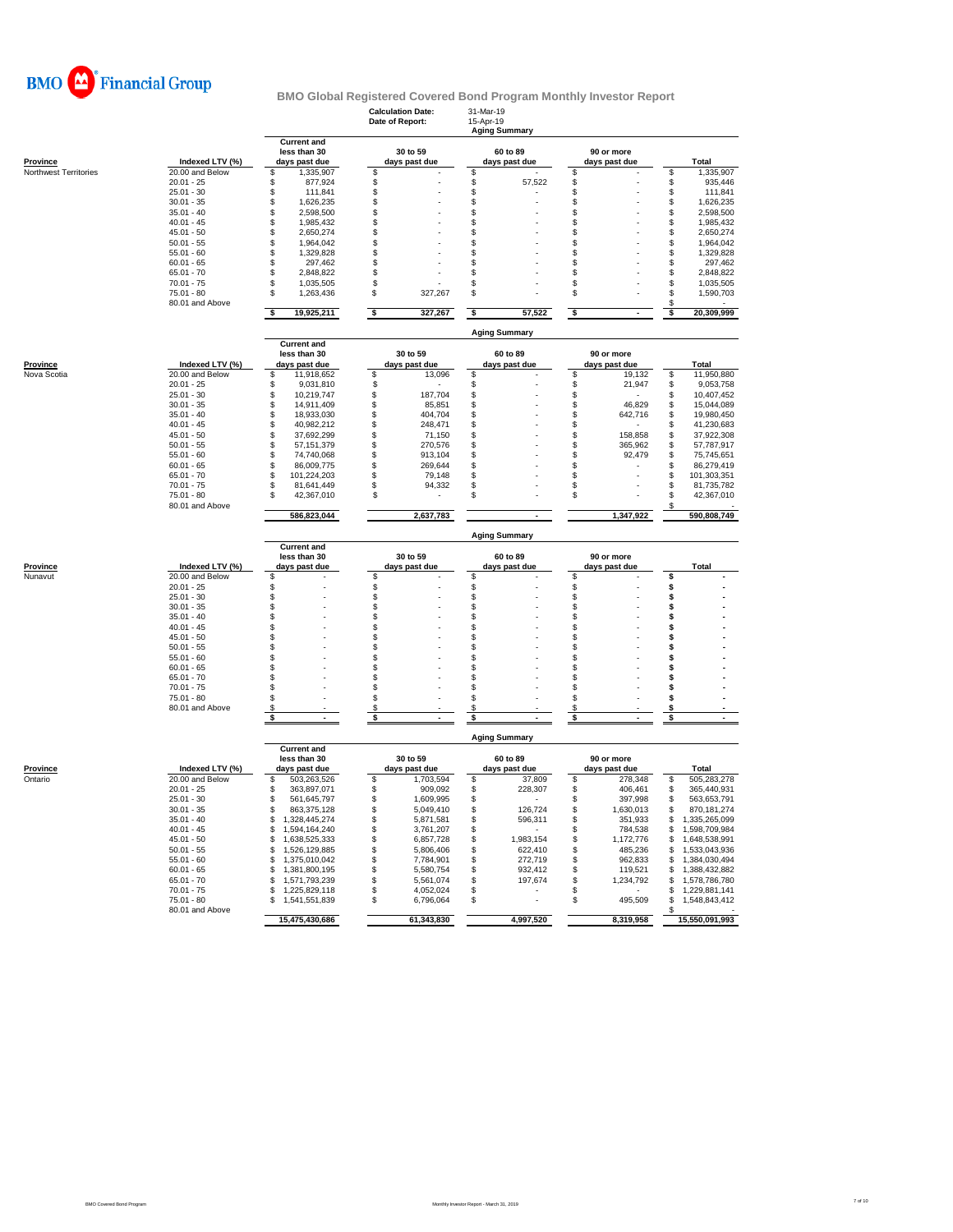

# **BMO Global Registered Covered Bond Program Monthly Investor Report Barry Summary**<br> **Aging Summary**

**Calculation Date:** 31-Mar-19 **Date of Report:** 15-Apr-19

|                       |                              | Agıng Summary                                       |              |                           |                           |                             |          |                |  |  |  |  |  |
|-----------------------|------------------------------|-----------------------------------------------------|--------------|---------------------------|---------------------------|-----------------------------|----------|----------------|--|--|--|--|--|
| Province              | Indexed LTV (%)              | <b>Current and</b><br>less than 30<br>days past due |              | 30 to 59<br>days past due | 60 to 89<br>days past due | 90 or more<br>days past due |          | Total          |  |  |  |  |  |
| Northwest Territories | 20.00 and Below              | S<br>1,335,907                                      | \$           |                           | \$                        | \$                          | \$       | 1,335,907      |  |  |  |  |  |
|                       | $20.01 - 25$                 | \$<br>877,924                                       | \$           |                           | $\mathbb{S}$<br>57,522    | \$                          | \$       | 935,446        |  |  |  |  |  |
|                       | $25.01 - 30$                 | 111,841<br>\$                                       | \$           |                           | \$                        | \$                          | \$       | 111,841        |  |  |  |  |  |
|                       | $30.01 - 35$                 | \$<br>1,626,235                                     | \$           |                           | \$                        | \$                          | \$       | 1,626,235      |  |  |  |  |  |
|                       | $35.01 - 40$                 | \$<br>2,598,500                                     | \$           |                           | \$                        | \$                          | \$       | 2,598,500      |  |  |  |  |  |
|                       | $40.01 - 45$                 | \$<br>1,985,432                                     | \$           |                           | $\mathbb{S}$              | \$                          | \$       | 1,985,432      |  |  |  |  |  |
|                       | $45.01 - 50$                 | \$<br>2,650,274                                     | \$           |                           | \$                        | \$                          | \$       | 2,650,274      |  |  |  |  |  |
|                       | $50.01 - 55$                 | \$<br>1,964,042                                     | \$           |                           | \$                        | \$                          | \$       | 1,964,042      |  |  |  |  |  |
|                       | $55.01 - 60$                 | \$<br>1,329,828                                     | \$           |                           | \$                        | \$                          | \$       | 1,329,828      |  |  |  |  |  |
|                       | $60.01 - 65$                 | S<br>297,462                                        | \$           |                           | \$                        | \$                          | \$       | 297,462        |  |  |  |  |  |
|                       | $65.01 - 70$                 | \$<br>2,848,822                                     | \$           |                           | \$                        | \$                          | \$       | 2,848,822      |  |  |  |  |  |
|                       | $70.01 - 75$                 | \$<br>1,035,505                                     | \$           |                           | \$                        | \$                          | \$       | 1,035,505      |  |  |  |  |  |
|                       | 75.01 - 80                   | S<br>1,263,436                                      | \$           | 327,267                   | \$                        | \$                          | \$       | 1,590,703      |  |  |  |  |  |
|                       | 80.01 and Above              |                                                     |              |                           |                           |                             | S        |                |  |  |  |  |  |
|                       |                              | 19,925,211<br>S.                                    | \$           | 327,267                   | \$<br>57,522              | \$                          | s        | 20,309,999     |  |  |  |  |  |
|                       |                              | <b>Current and</b>                                  |              |                           | <b>Aging Summary</b>      |                             |          |                |  |  |  |  |  |
|                       |                              | less than 30                                        |              | 30 to 59                  | 60 to 89                  | 90 or more                  |          |                |  |  |  |  |  |
| <b>Province</b>       | Indexed LTV (%)              | days past due                                       |              | days past due             | days past due             | days past due               |          | <b>Total</b>   |  |  |  |  |  |
| Nova Scotia           | 20.00 and Below              | S<br>11,918,652                                     | \$           | 13,096                    | \$                        | \$<br>19,132                | \$       | 11,950,880     |  |  |  |  |  |
|                       | $20.01 - 25$                 | 9,031,810<br>\$                                     | \$           |                           | \$                        | \$<br>21,947                | \$       | 9,053,758      |  |  |  |  |  |
|                       | $25.01 - 30$                 | 10,219,747<br>\$                                    | \$           | 187,704                   | \$                        | \$                          | \$       | 10,407,452     |  |  |  |  |  |
|                       | $30.01 - 35$                 | S<br>14,911,409                                     | \$           | 85,851                    | \$                        | 46,829<br>\$                | \$       | 15,044,089     |  |  |  |  |  |
|                       | $35.01 - 40$                 | 18,933,030<br>\$                                    | \$           | 404,704                   | \$                        | 642,716<br>\$               | \$       | 19,980,450     |  |  |  |  |  |
|                       | $40.01 - 45$                 | \$<br>40,982,212                                    | \$           | 248,471                   | \$                        | \$                          | \$       | 41,230,683     |  |  |  |  |  |
|                       | $45.01 - 50$                 | \$<br>37,692,299                                    | \$           | 71,150                    | \$                        | \$<br>158,858               | \$       | 37,922,308     |  |  |  |  |  |
|                       | $50.01 - 55$                 | \$<br>57, 151, 379                                  | \$           | 270,576                   | $\mathbb{S}$              | \$<br>365,962               | \$       | 57,787,917     |  |  |  |  |  |
|                       | $55.01 - 60$                 | \$<br>74,740,068                                    | \$           | 913,104                   | $$\mathbb{S}$$            | \$<br>92,479                | \$       | 75,745,651     |  |  |  |  |  |
|                       | $60.01 - 65$                 | 86,009,775<br>\$                                    | \$           | 269,644                   | \$                        | \$                          | \$       | 86,279,419     |  |  |  |  |  |
|                       |                              | S                                                   |              |                           |                           |                             |          |                |  |  |  |  |  |
|                       | $65.01 - 70$<br>$70.01 - 75$ | 101,224,203                                         | \$           | 79,148                    | \$                        | \$                          | \$       | 101,303,351    |  |  |  |  |  |
|                       |                              | 81,641,449<br>S<br>S                                | \$           | 94,332                    | \$<br>S                   | \$                          | \$<br>\$ | 81,735,782     |  |  |  |  |  |
|                       | $75.01 - 80$                 | 42,367,010                                          | \$           |                           |                           | \$                          |          | 42,367,010     |  |  |  |  |  |
|                       | 80.01 and Above              | 586,823,044                                         |              | 2,637,783                 |                           | 1,347,922                   | \$       | 590,808,749    |  |  |  |  |  |
|                       |                              |                                                     |              |                           | <b>Aging Summary</b>      |                             |          |                |  |  |  |  |  |
|                       |                              | <b>Current and</b>                                  |              |                           |                           |                             |          |                |  |  |  |  |  |
|                       |                              | less than 30                                        |              | 30 to 59                  | 60 to 89                  | 90 or more                  |          |                |  |  |  |  |  |
| Province              | Indexed LTV (%)              | days past due                                       |              | days past due             | days past due             | days past due               |          | Total          |  |  |  |  |  |
| Nunavut               | 20.00 and Below              | S                                                   | \$           |                           | \$                        | \$                          | \$       |                |  |  |  |  |  |
|                       | $20.01 - 25$                 | \$                                                  | \$           |                           | \$                        | \$                          | \$       |                |  |  |  |  |  |
|                       | $25.01 - 30$                 | \$                                                  | $\mathbb{S}$ |                           | $\mathbb{S}$              | $\ddot{\$}$                 | \$       |                |  |  |  |  |  |
|                       | $30.01 - 35$                 | \$                                                  | \$           |                           | $$\mathbb{S}$$            | \$                          | Ś        |                |  |  |  |  |  |
|                       |                              |                                                     |              |                           |                           |                             |          |                |  |  |  |  |  |
|                       | $35.01 - 40$                 | \$                                                  | \$           |                           | \$                        | \$                          | \$       |                |  |  |  |  |  |
|                       | $40.01 - 45$                 | \$                                                  | \$           |                           | \$                        | \$                          | \$       |                |  |  |  |  |  |
|                       | $45.01 - 50$                 | \$                                                  | \$           |                           | \$                        | \$                          | s        |                |  |  |  |  |  |
|                       | $50.01 - 55$                 | \$                                                  | \$           |                           | \$                        | \$                          | \$       |                |  |  |  |  |  |
|                       | $55.01 - 60$                 | \$                                                  | \$           |                           | \$                        | \$                          | \$       |                |  |  |  |  |  |
|                       | $60.01 - 65$                 | S                                                   | \$           |                           | $\mathbb{S}$              | S                           | \$       |                |  |  |  |  |  |
|                       | $65.01 - 70$                 | \$                                                  | \$           |                           | \$                        | \$                          | Ś        |                |  |  |  |  |  |
|                       | $70.01 - 75$                 | \$                                                  | \$           |                           | \$                        | \$                          | Ś        |                |  |  |  |  |  |
|                       | $75.01 - 80$                 | S                                                   | \$           |                           | \$                        | \$                          | \$       |                |  |  |  |  |  |
|                       | 80.01 and Above              | \$.                                                 | \$           |                           | \$                        | \$                          | s        |                |  |  |  |  |  |
|                       |                              | S                                                   | \$           |                           | \$                        | \$                          | S        |                |  |  |  |  |  |
|                       |                              |                                                     |              |                           | <b>Aging Summary</b>      |                             |          |                |  |  |  |  |  |
|                       |                              | <b>Current and</b>                                  |              |                           |                           |                             |          |                |  |  |  |  |  |
|                       |                              | less than 30                                        |              | 30 to 59                  | 60 to 89                  | 90 or more                  |          |                |  |  |  |  |  |
| Province              | Indexed LTV (%)              | days past due                                       |              | days past due             | days past due             | days past due               |          | <b>Total</b>   |  |  |  |  |  |
| Ontario               | 20.00 and Below              | \$.<br>503,263,526                                  | \$           | 1,703,594                 | \$<br>37,809              | \$<br>278,348               | \$       | 505,283,278    |  |  |  |  |  |
|                       | $20.01 - 25$                 | 363,897,071<br>S                                    | \$           | 909,092                   | \$<br>228,307             | \$<br>406,461               | \$       | 365,440,931    |  |  |  |  |  |
|                       | $25.01 - 30$                 | 561,645,797<br>\$                                   | \$           | 1,609,995                 | \$                        | 397,998<br>\$               | \$       | 563,653,791    |  |  |  |  |  |
|                       | $30.01 - 35$                 | S<br>863,375,128                                    | \$           | 5,049,410                 | \$<br>126,724             | \$<br>1,630,013             | \$       | 870,181,274    |  |  |  |  |  |
|                       |                              | S                                                   |              |                           | \$                        |                             | \$       |                |  |  |  |  |  |
|                       | $35.01 - 40$                 | 1,328,445,274                                       | \$           | 5,871,581                 | 596,311                   | \$<br>351,933               |          | 1,335,265,099  |  |  |  |  |  |
|                       | $40.01 - 45$                 | \$<br>1,594,164,240                                 | \$           | 3,761,207                 | \$                        | \$<br>784,538               | \$       | 1,598,709,984  |  |  |  |  |  |
|                       | $45.01 - 50$                 | \$<br>1,638,525,333                                 | \$           | 6,857,728                 | \$<br>1,983,154           | \$<br>1,172,776             | \$       | 1,648,538,991  |  |  |  |  |  |
|                       | $50.01 - 55$                 | S<br>1,526,129,885                                  | \$           | 5,806,406                 | \$<br>622,410             | \$<br>485,236               | \$       | 1,533,043,936  |  |  |  |  |  |
|                       | $55.01 - 60$                 | \$<br>1,375,010,042                                 | \$           | 7,784,901                 | \$<br>272,719             | \$<br>962,833               | \$       | 1,384,030,494  |  |  |  |  |  |
|                       | $60.01 - 65$                 | \$<br>1,381,800,195                                 | \$           | 5,580,754                 | 932,412<br>\$             | \$<br>119,521               | \$       | 1,388,432,882  |  |  |  |  |  |
|                       | $65.01 - 70$                 | \$<br>1,571,793,239                                 | \$           | 5,561,074                 | \$<br>197,674             | \$<br>1,234,792             | \$       | 1,578,786,780  |  |  |  |  |  |
|                       | $70.01 - 75$                 | \$<br>1,225,829,118                                 | \$           | 4,052,024                 | \$                        | \$                          | \$       | 1,229,881,141  |  |  |  |  |  |
|                       | $75.01 - 80$                 | 1,541,551,839<br>\$                                 | \$           | 6,796,064                 | \$                        | Ŝ<br>495,509                | Ŝ        | 1,548,843,412  |  |  |  |  |  |
|                       | 80.01 and Above              | 15,475,430,686                                      |              | 61,343,830                | 4,997,520                 | 8,319,958                   |          | 15,550,091,993 |  |  |  |  |  |
|                       |                              |                                                     |              |                           |                           |                             |          |                |  |  |  |  |  |
|                       |                              |                                                     |              |                           |                           |                             |          |                |  |  |  |  |  |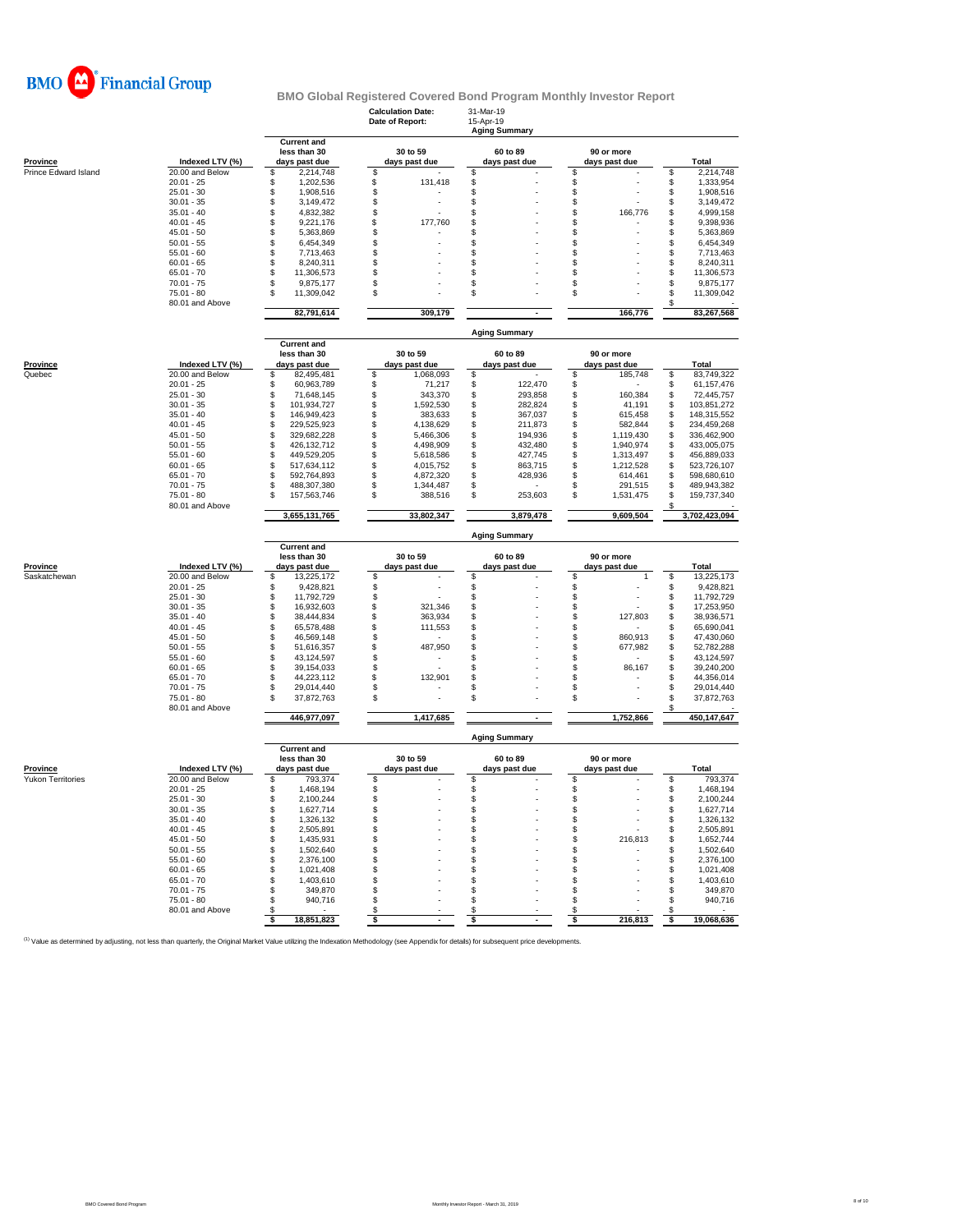

|                                             |                                    |                                                     | <b>Calculation Date:</b><br>Date of Report: | 31-Mar-19<br>15-Apr-19<br><b>Aging Summary</b> |                                    |                                  |  |  |  |  |  |  |  |
|---------------------------------------------|------------------------------------|-----------------------------------------------------|---------------------------------------------|------------------------------------------------|------------------------------------|----------------------------------|--|--|--|--|--|--|--|
| <b>Province</b>                             | Indexed LTV (%)                    | <b>Current and</b><br>less than 30<br>days past due | 30 to 59<br>days past due                   | 60 to 89<br>days past due                      | 90 or more<br>days past due        | <b>Total</b>                     |  |  |  |  |  |  |  |
| Prince Edward Island                        | 20.00 and Below                    | \$<br>2,214,748                                     | \$                                          | S                                              | \$                                 | 2,214,748<br>\$                  |  |  |  |  |  |  |  |
|                                             | $20.01 - 25$                       | \$<br>1,202,536                                     | \$<br>131,418                               | \$                                             | \$                                 | \$<br>1,333,954                  |  |  |  |  |  |  |  |
|                                             | $25.01 - 30$                       | \$<br>1,908,516                                     | \$                                          | \$                                             | \$                                 | \$<br>1,908,516                  |  |  |  |  |  |  |  |
|                                             | $30.01 - 35$                       | \$<br>3,149,472                                     | \$                                          | \$                                             | \$                                 | \$<br>3,149,472                  |  |  |  |  |  |  |  |
|                                             | $35.01 - 40$                       | \$<br>4,832,382                                     | \$                                          | \$                                             | \$<br>166,776                      | \$<br>4,999,158                  |  |  |  |  |  |  |  |
|                                             | $40.01 - 45$                       | \$<br>9,221,176                                     | \$<br>177,760                               | \$                                             | \$                                 | \$<br>9,398,936                  |  |  |  |  |  |  |  |
|                                             | $45.01 - 50$                       | \$<br>5,363,869                                     | \$                                          | \$                                             | \$                                 | \$<br>5,363,869                  |  |  |  |  |  |  |  |
|                                             | $50.01 - 55$                       | \$<br>6,454,349                                     | \$                                          | \$                                             | \$                                 | \$<br>6,454,349                  |  |  |  |  |  |  |  |
|                                             | $55.01 - 60$                       | \$<br>7,713,463                                     | \$                                          | \$                                             | \$                                 | \$<br>7,713,463                  |  |  |  |  |  |  |  |
|                                             | $60.01 - 65$                       | \$<br>8,240,311                                     | \$                                          | \$                                             | \$                                 | \$<br>8,240,311                  |  |  |  |  |  |  |  |
|                                             | $65.01 - 70$                       | \$<br>11,306,573                                    | \$                                          | S                                              | \$                                 | \$<br>11,306,573                 |  |  |  |  |  |  |  |
|                                             | $70.01 - 75$                       | \$<br>9,875,177                                     | \$                                          | \$                                             | \$                                 | \$<br>9,875,177                  |  |  |  |  |  |  |  |
|                                             | $75.01 - 80$<br>80.01 and Above    | \$<br>11,309,042                                    | \$                                          | \$                                             | \$                                 | \$<br>11,309,042<br>\$           |  |  |  |  |  |  |  |
|                                             |                                    | 82,791,614                                          | 309,179                                     |                                                | 166,776                            | 83,267,568                       |  |  |  |  |  |  |  |
|                                             |                                    | <b>Current and</b>                                  |                                             | <b>Aging Summary</b>                           |                                    |                                  |  |  |  |  |  |  |  |
|                                             |                                    | less than 30                                        | 30 to 59                                    | 60 to 89                                       | 90 or more                         |                                  |  |  |  |  |  |  |  |
| <b>Province</b>                             | Indexed LTV (%)                    | days past due                                       | days past due                               | days past due                                  | days past due                      | Total                            |  |  |  |  |  |  |  |
| Quebec                                      | 20.00 and Below                    | \$<br>82,495,481                                    | \$<br>1,068,093                             | \$                                             | \$<br>185,748                      | \$<br>83,749,322                 |  |  |  |  |  |  |  |
|                                             | $20.01 - 25$                       | \$<br>60,963,789                                    | \$<br>71,217                                | \$<br>122,470                                  | \$                                 | \$<br>61, 157, 476               |  |  |  |  |  |  |  |
|                                             | $25.01 - 30$                       | \$<br>71,648,145                                    | \$<br>343,370                               | \$<br>293,858                                  | \$<br>160,384                      | \$<br>72,445,757                 |  |  |  |  |  |  |  |
|                                             | $30.01 - 35$                       | \$<br>101,934,727                                   | \$<br>1,592,530                             | \$<br>282,824                                  | 41,191<br>\$                       | \$<br>103,851,272                |  |  |  |  |  |  |  |
|                                             | $35.01 - 40$                       | \$<br>146,949,423                                   | \$<br>383,633                               | \$<br>367,037                                  | 615,458<br>\$                      | \$<br>148,315,552                |  |  |  |  |  |  |  |
|                                             | $40.01 - 45$                       | \$<br>229,525,923                                   | \$<br>4,138,629                             | \$<br>211,873                                  | \$<br>582,844                      | \$<br>234,459,268                |  |  |  |  |  |  |  |
|                                             | $45.01 - 50$                       | \$<br>329,682,228                                   | \$<br>5,466,306                             | \$<br>194,936                                  | \$<br>1,119,430                    | \$<br>336,462,900                |  |  |  |  |  |  |  |
|                                             | $50.01 - 55$                       | \$<br>426, 132, 712                                 | \$<br>4,498,909                             | \$<br>432,480                                  | \$<br>1,940,974                    | \$<br>433,005,075                |  |  |  |  |  |  |  |
|                                             | $55.01 - 60$                       | \$<br>449,529,205<br>\$<br>517,634,112              | \$<br>5,618,586<br>\$                       | \$<br>427,745<br>\$<br>863,715                 | \$<br>1,313,497<br>\$<br>1,212,528 | \$<br>456,889,033<br>523,726,107 |  |  |  |  |  |  |  |
|                                             | $60.01 - 65$<br>$65.01 - 70$       | \$<br>592,764,893                                   | 4,015,752<br>\$<br>4,872,320                | \$<br>428,936                                  | \$<br>614,461                      | \$<br>\$<br>598,680,610          |  |  |  |  |  |  |  |
|                                             | $70.01 - 75$                       | \$<br>488,307,380                                   | \$<br>1,344,487                             | \$                                             | \$<br>291,515                      | \$<br>489,943,382                |  |  |  |  |  |  |  |
|                                             | 75.01 - 80                         | \$<br>157,563,746                                   | \$<br>388,516                               | \$<br>253,603                                  | \$<br>1,531,475                    | \$<br>159,737,340                |  |  |  |  |  |  |  |
|                                             | 80.01 and Above                    |                                                     |                                             |                                                |                                    | \$                               |  |  |  |  |  |  |  |
|                                             |                                    | 3,655,131,765                                       | 33,802,347                                  | 3,879,478                                      | 9,609,504                          | 3,702,423,094                    |  |  |  |  |  |  |  |
|                                             |                                    | <b>Current and</b>                                  |                                             | <b>Aging Summary</b>                           |                                    |                                  |  |  |  |  |  |  |  |
|                                             |                                    | less than 30                                        | 30 to 59                                    | 60 to 89                                       | 90 or more                         |                                  |  |  |  |  |  |  |  |
| Province                                    | Indexed LTV (%)<br>20.00 and Below | days past due<br>\$                                 | days past due                               | days past due<br>\$                            | days past due<br>\$<br>1           | Total<br>\$                      |  |  |  |  |  |  |  |
| Saskatchewan                                | $20.01 - 25$                       | 13,225,172<br>\$<br>9,428,821                       | \$<br>\$                                    | \$                                             | \$                                 | 13,225,173<br>\$<br>9,428,821    |  |  |  |  |  |  |  |
|                                             | $25.01 - 30$                       | \$<br>11,792,729                                    | \$                                          | \$                                             | \$                                 | \$<br>11,792,729                 |  |  |  |  |  |  |  |
|                                             | $30.01 - 35$                       | \$<br>16,932,603                                    | \$<br>321,346                               | \$                                             | \$                                 | \$<br>17,253,950                 |  |  |  |  |  |  |  |
|                                             | $35.01 - 40$                       | \$<br>38,444,834                                    | \$<br>363,934                               | \$                                             | \$<br>127,803                      | \$<br>38,936,571                 |  |  |  |  |  |  |  |
|                                             | $40.01 - 45$                       | \$<br>65,578,488                                    | \$<br>111,553                               | S                                              | \$                                 | \$<br>65,690,041                 |  |  |  |  |  |  |  |
|                                             | $45.01 - 50$                       | \$<br>46,569,148                                    | \$                                          | \$                                             | \$<br>860,913                      | \$<br>47,430,060                 |  |  |  |  |  |  |  |
|                                             | $50.01 - 55$                       | \$<br>51,616,357                                    | \$<br>487,950                               | S                                              | 677,982<br>\$                      | \$<br>52,782,288                 |  |  |  |  |  |  |  |
|                                             | $55.01 - 60$                       | \$<br>43,124,597                                    | \$                                          | S                                              | \$                                 | \$<br>43,124,597                 |  |  |  |  |  |  |  |
|                                             | $60.01 - 65$                       | \$<br>39,154,033                                    | \$                                          | \$                                             | S<br>86,167                        | \$<br>39,240,200                 |  |  |  |  |  |  |  |
|                                             | $65.01 - 70$                       | \$<br>44,223,112                                    | \$<br>132,901                               | \$                                             | \$                                 | \$<br>44,356,014                 |  |  |  |  |  |  |  |
|                                             | $70.01 - 75$                       | \$<br>29,014,440                                    | \$                                          | \$                                             | \$                                 | \$<br>29,014,440                 |  |  |  |  |  |  |  |
|                                             | $75.01 - 80$<br>80.01 and Above    | \$<br>37,872,763                                    | \$                                          | \$                                             | \$                                 | \$<br>37,872,763<br>\$           |  |  |  |  |  |  |  |
|                                             |                                    | 446,977,097                                         | 1,417,685                                   | $\mathbf{r}$                                   | 1.752.866                          | 450,147,647                      |  |  |  |  |  |  |  |
|                                             |                                    | <b>Current and</b>                                  |                                             | <b>Aging Summary</b>                           |                                    |                                  |  |  |  |  |  |  |  |
|                                             |                                    | less than 30                                        | 30 to 59                                    | 60 to 89                                       | 90 or more                         |                                  |  |  |  |  |  |  |  |
| <b>Province</b><br><b>Yukon Territories</b> | Indexed LTV (%)<br>20.00 and Below | days past due<br>793,374<br>\$                      | days past due<br>\$                         | days past due<br>\$                            | days past due<br>\$                | <b>Total</b><br>793,374<br>S     |  |  |  |  |  |  |  |
|                                             | $20.01 - 25$                       | \$<br>1,468,194                                     | \$                                          | \$                                             | \$                                 | \$<br>1,468,194                  |  |  |  |  |  |  |  |
|                                             | $25.01 - 30$                       | \$<br>2,100,244                                     | S                                           | \$                                             | \$                                 | \$<br>2.100.244                  |  |  |  |  |  |  |  |
|                                             | $30.01 - 35$                       | \$<br>1,627,714                                     | \$                                          | \$                                             | \$                                 | 1,627,714<br>\$                  |  |  |  |  |  |  |  |
|                                             | $35.01 - 40$                       | \$<br>1,326,132                                     | \$                                          | \$                                             | \$                                 | 1,326,132<br>\$                  |  |  |  |  |  |  |  |
|                                             | $40.01 - 45$                       | \$<br>2,505,891                                     | \$                                          | \$                                             | \$                                 | 2,505,891<br>\$                  |  |  |  |  |  |  |  |
|                                             | $45.01 - 50$                       | \$<br>1.435.931                                     | \$                                          | \$                                             | 216,813<br>\$                      | 1,652,744<br>\$                  |  |  |  |  |  |  |  |
|                                             | $50.01 - 55$                       | \$<br>1,502,640                                     | \$                                          | \$.                                            | \$                                 | 1,502,640<br>\$                  |  |  |  |  |  |  |  |
|                                             | $55.01 - 60$                       | \$<br>2,376,100                                     | \$                                          | \$                                             | \$                                 | \$<br>2,376,100                  |  |  |  |  |  |  |  |
|                                             | $60.01 - 65$                       | \$<br>1,021,408                                     | \$                                          | \$                                             | \$                                 | 1,021,408<br>\$                  |  |  |  |  |  |  |  |
|                                             | $65.01 - 70$                       | \$<br>1,403,610                                     | \$                                          | \$                                             | \$                                 | 1,403,610<br>\$                  |  |  |  |  |  |  |  |
|                                             | $70.01 - 75$                       | \$<br>349,870                                       | \$                                          | \$                                             | \$                                 | 349,870<br>\$                    |  |  |  |  |  |  |  |
|                                             | $75.01 - 80$                       | \$<br>940,716                                       | \$                                          | \$                                             | \$                                 | 940,716<br>\$                    |  |  |  |  |  |  |  |
|                                             | 80.01 and Above                    | \$                                                  | \$                                          | \$                                             | \$                                 | \$                               |  |  |  |  |  |  |  |
|                                             |                                    | \$<br>18,851,823                                    | \$<br>$\sim$                                | \$<br>$\sim$                                   | \$<br>216,813                      | 19,068,636<br>\$                 |  |  |  |  |  |  |  |

<sup>(1)</sup> Value as determined by adjusting, not less than quarterly, the Original Market Value utilizing the Indexation Methodology (see Appendix for details) for subsequent price developments.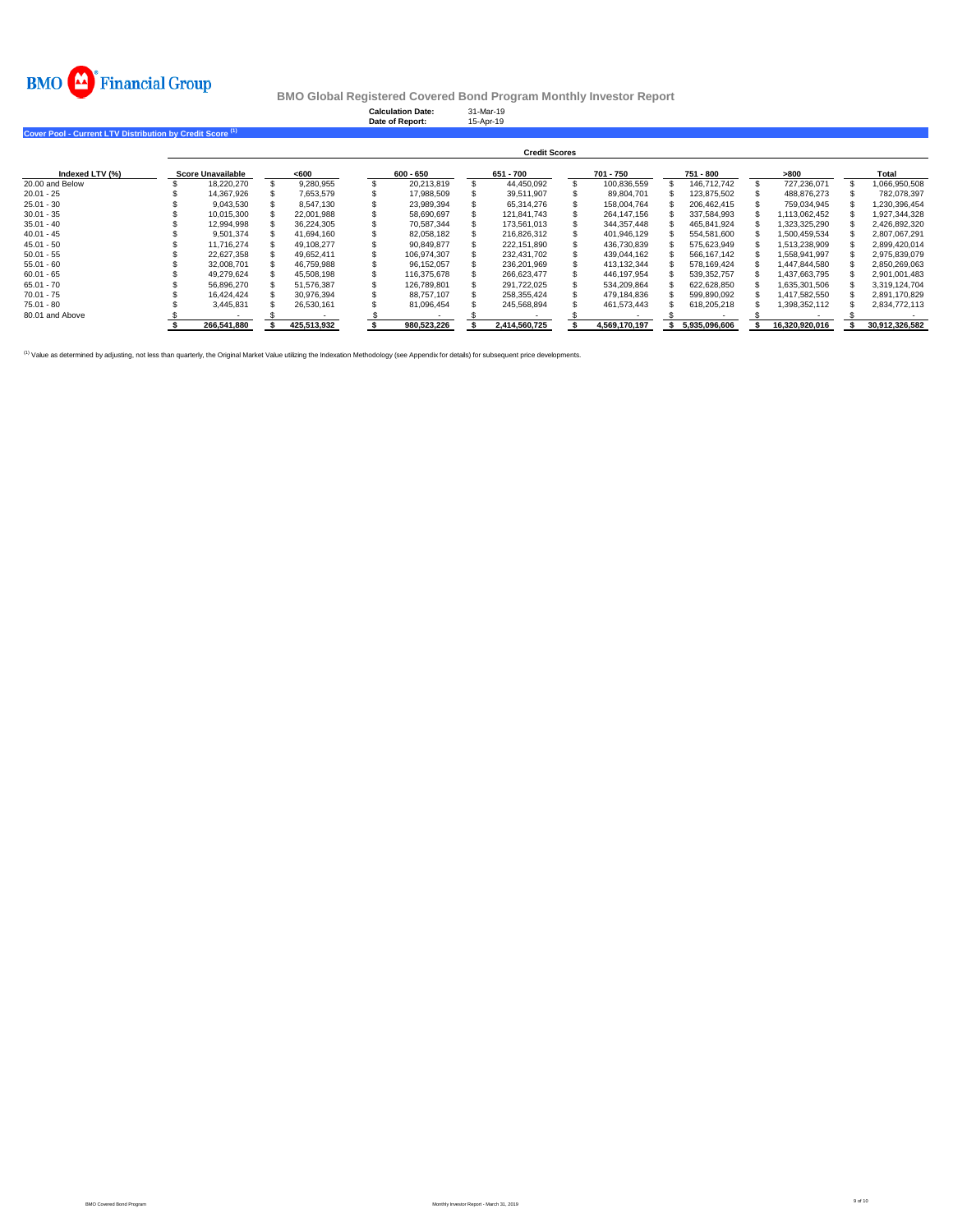

|                                                                      |                          |             | <b>Calculation Date:</b><br>Date of Report: | 31-Mar-19<br>15-Apr-19 |               |               |                |                |
|----------------------------------------------------------------------|--------------------------|-------------|---------------------------------------------|------------------------|---------------|---------------|----------------|----------------|
| Cover Pool - Current LTV Distribution by Credit Score <sup>(1)</sup> |                          |             |                                             |                        |               |               |                |                |
|                                                                      |                          |             |                                             | <b>Credit Scores</b>   |               |               |                |                |
| Indexed LTV (%)                                                      | <b>Score Unavailable</b> | <600        | $600 - 650$                                 | 651 - 700              | 701 - 750     | 751 - 800     | >800           | Total          |
| 20.00 and Below                                                      | 18,220,270               | 9,280,955   | 20,213,819                                  | 44,450,092             | 100,836,559   | 146.712.742   | 727.236.071    | 1,066,950,508  |
| $20.01 - 25$                                                         | 14.367.926               | 7,653,579   | 17,988,509                                  | 39.511.907             | 89.804.701    | 123,875,502   | 488.876.273    | 782.078.397    |
| $25.01 - 30$                                                         | 9,043,530                | 8.547.130   | 23,989,394                                  | 65.314.276             | 158.004.764   | 206.462.415   | 759.034.945    | 1,230,396,454  |
| $30.01 - 35$                                                         | 10,015,300               | 22,001,988  | 58,690,697                                  | 121.841.743            | 264, 147, 156 | 337,584,993   | 1,113,062,452  | 1,927,344,328  |
| $35.01 - 40$                                                         | 12.994.998               | 36,224,305  | 70.587.344                                  | 173.561.013            | 344, 357, 448 | 465,841,924   | 323,325,290    | 2,426,892,320  |
| $40.01 - 45$                                                         | 9,501,374                | 41.694.160  | 82.058.182                                  | 216.826.312            | 401.946.129   | 554,581,600   | 1,500,459,534  | 2,807,067,291  |
| $45.01 - 50$                                                         | 11,716,274               | 49,108,277  | 90,849,877                                  | 222,151,890            | 436,730,839   | 575,623,949   | 1,513,238,909  | 2,899,420,014  |
| $50.01 - 55$                                                         | 22,627,358               | 49,652,411  | 106,974,307                                 | 232,431,702            | 439,044,162   | 566, 167, 142 | 1,558,941,997  | 2,975,839,079  |
| $55.01 - 60$                                                         | 32,008,701               | 46,759,988  | 96,152,057                                  | 236.201.969            | 413, 132, 344 | 578,169,424   | 447,844,580    | 2,850,269,063  |
| $60.01 - 65$                                                         | 49,279,624               | 45,508,198  | 116.375.678                                 | 266,623,477            | 446,197,954   | 539,352,757   | 437,663,795    | 2,901,001,483  |
| $65.01 - 70$                                                         | 56,896,270               | 51,576,387  | 126.789.801                                 | 291,722,025            | 534,209,864   | 622,628,850   | 1,635,301,506  | 3,319,124,704  |
| $70.01 - 75$                                                         | 16,424,424               | 30,976,394  | 88.757.107                                  | 258,355,424            | 479,184,836   | 599,890,092   | 1,417,582,550  | 2.891.170.829  |
| $75.01 - 80$                                                         | 3,445,831                | 26,530,161  | 81,096,454                                  | 245,568,894            | 461,573,443   | 618,205,218   | 398,352,112    | 2,834,772,113  |
| 80.01 and Above                                                      |                          |             |                                             |                        |               |               |                |                |
|                                                                      | 266,541,880              | 425,513,932 | 980,523,226                                 | 2,414,560,725          | 4,569,170,197 | 5,935,096,606 | 16,320,920,016 | 30,912,326,582 |

<sup>(1)</sup> Value as determined by adjusting, not less than quarterly, the Original Market Value utilizing the Indexation Methodology (see Appendix for details) for subsequent price developments.